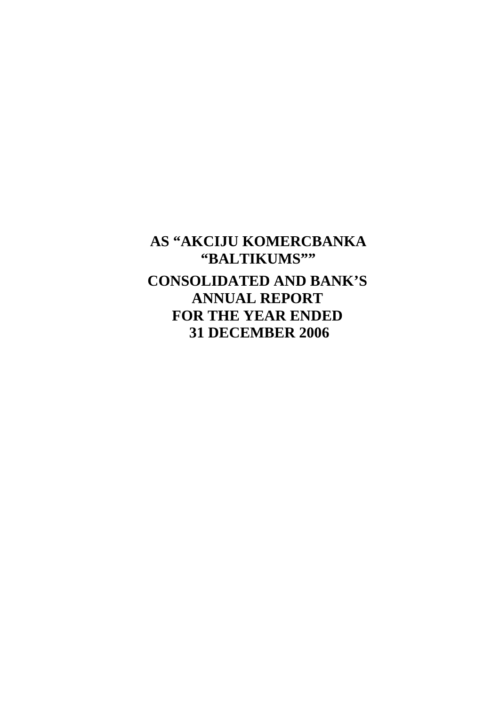# **AS "AKCIJU KOMERCBANKA "BALTIKUMS"" CONSOLIDATED AND BANK'S ANNUAL REPORT FOR THE YEAR ENDED 31 DECEMBER 2006**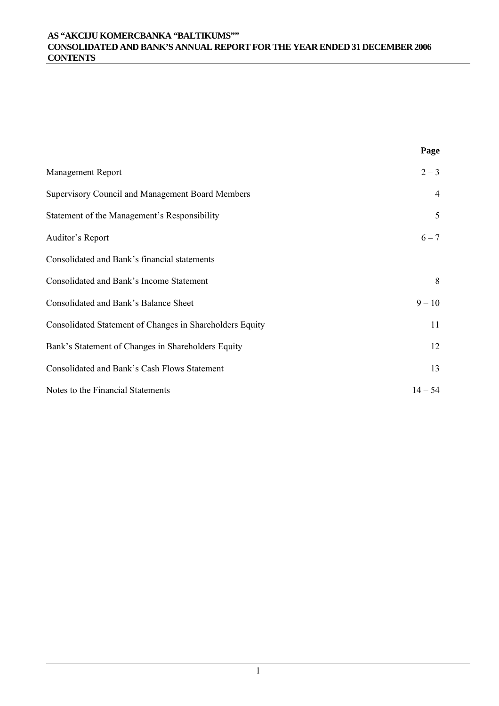# **AS "AKCIJU KOMERCBANKA "BALTIKUMS"" CONSOLIDATED AND BANK'S ANNUAL REPORT FOR THE YEAR ENDED 31 DECEMBER 2006 CONTENTS**

**Page**

| <b>Management Report</b>                                 | $2 - 3$        |
|----------------------------------------------------------|----------------|
| Supervisory Council and Management Board Members         | $\overline{4}$ |
| Statement of the Management's Responsibility             | 5              |
| Auditor's Report                                         | $6 - 7$        |
| Consolidated and Bank's financial statements             |                |
| Consolidated and Bank's Income Statement                 | 8              |
| Consolidated and Bank's Balance Sheet                    | $9 - 10$       |
| Consolidated Statement of Changes in Shareholders Equity | 11             |
| Bank's Statement of Changes in Shareholders Equity       | 12             |
| Consolidated and Bank's Cash Flows Statement             | 13             |
| Notes to the Financial Statements                        | $14 - 54$      |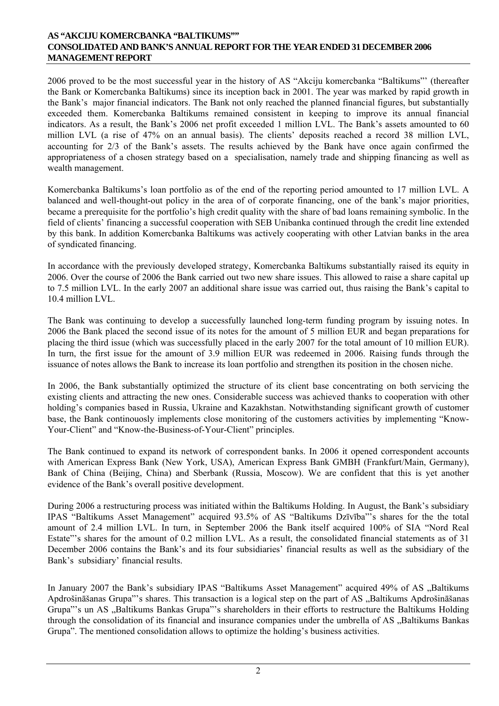#### **AS "AKCIJU KOMERCBANKA "BALTIKUMS"" CONSOLIDATED AND BANK'S ANNUAL REPORT FOR THE YEAR ENDED 31 DECEMBER 2006 MANAGEMENT REPORT**

2006 proved to be the most successful year in the history of AS "Akciju komercbanka "Baltikums"' (thereafter the Bank or Komercbanka Baltikums) since its inception back in 2001. The year was marked by rapid growth in the Bank's major financial indicators. The Bank not only reached the planned financial figures, but substantially exceeded them. Komercbanka Baltikums remained consistent in keeping to improve its annual financial indicators. As a result, the Bank's 2006 net profit exceeded 1 million LVL. The Bank's assets amounted to 60 million LVL (a rise of 47% on an annual basis). The clients' deposits reached a record 38 million LVL, accounting for 2/3 of the Bank's assets. The results achieved by the Bank have once again confirmed the appropriateness of a chosen strategy based on a specialisation, namely trade and shipping financing as well as wealth management.

Komercbanka Baltikums's loan portfolio as of the end of the reporting period amounted to 17 million LVL. A balanced and well-thought-out policy in the area of of corporate financing, one of the bank's major priorities, became a prerequisite for the portfolio's high credit quality with the share of bad loans remaining symbolic. In the field of clients' financing a successful cooperation with SEB Unibanka continued through the credit line extended by this bank. In addition Komercbanka Baltikums was actively cooperating with other Latvian banks in the area of syndicated financing.

In accordance with the previously developed strategy, Komercbanka Baltikums substantially raised its equity in 2006. Over the course of 2006 the Bank carried out two new share issues. This allowed to raise a share capital up to 7.5 million LVL. In the early 2007 an additional share issue was carried out, thus raising the Bank's capital to 10.4 million LVL.

The Bank was continuing to develop a successfully launched long-term funding program by issuing notes. In 2006 the Bank placed the second issue of its notes for the amount of 5 million EUR and began preparations for placing the third issue (which was successfully placed in the early 2007 for the total amount of 10 million EUR). In turn, the first issue for the amount of 3.9 million EUR was redeemed in 2006. Raising funds through the issuance of notes allows the Bank to increase its loan portfolio and strengthen its position in the chosen niche.

In 2006, the Bank substantially optimized the structure of its client base concentrating on both servicing the existing clients and attracting the new ones. Considerable success was achieved thanks to cooperation with other holding's companies based in Russia, Ukraine and Kazakhstan. Notwithstanding significant growth of customer base, the Bank continouosly implements close monitoring of the customers activities by implementing "Know-Your-Client" and "Know-the-Business-of-Your-Client" principles.

The Bank continued to expand its network of correspondent banks. In 2006 it opened correspondent accounts with American Express Bank (New York, USA), American Express Bank GMBH (Frankfurt/Main, Germany), Bank of China (Beijing, China) and Sberbank (Russia, Moscow). We are confident that this is yet another evidence of the Bank's overall positive development.

During 2006 a restructuring process was initiated within the Baltikums Holding. In August, the Bank's subsidiary IPAS "Baltikums Asset Management" acquired 93.5% of AS "Baltikums Dzīvība"'s shares for the the total amount of 2.4 million LVL. In turn, in September 2006 the Bank itself acquired 100% of SIA "Nord Real Estate"'s shares for the amount of 0.2 million LVL. As a result, the consolidated financial statements as of 31 December 2006 contains the Bank's and its four subsidiaries' financial results as well as the subsidiary of the Bank's subsidiary' financial results.

In January 2007 the Bank's subsidiary IPAS "Baltikums Asset Management" acquired 49% of AS "Baltikums Apdrošināšanas Grupa"'s shares. This transaction is a logical step on the part of AS "Baltikums Apdrošināšanas Grupa"'s un AS "Baltikums Bankas Grupa"'s shareholders in their efforts to restructure the Baltikums Holding through the consolidation of its financial and insurance companies under the umbrella of AS "Baltikums Bankas Grupa". The mentioned consolidation allows to optimize the holding's business activities.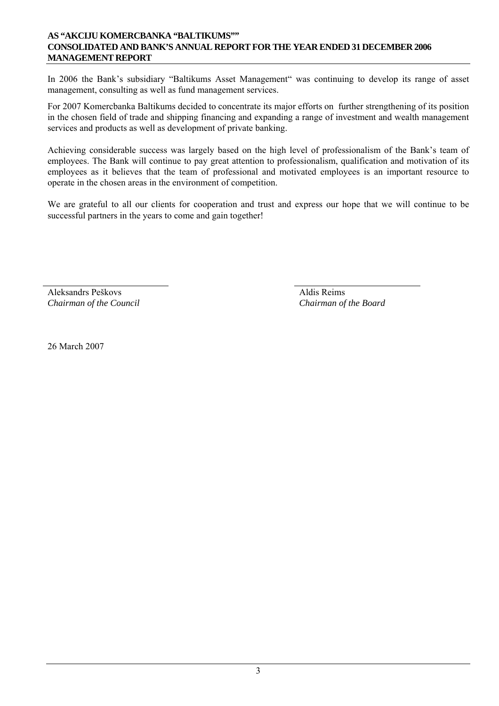#### **AS "AKCIJU KOMERCBANKA "BALTIKUMS"" CONSOLIDATED AND BANK'S ANNUAL REPORT FOR THE YEAR ENDED 31 DECEMBER 2006 MANAGEMENT REPORT**

In 2006 the Bank's subsidiary "Baltikums Asset Management" was continuing to develop its range of asset management, consulting as well as fund management services.

For 2007 Komercbanka Baltikums decided to concentrate its major efforts on further strengthening of its position in the chosen field of trade and shipping financing and expanding a range of investment and wealth management services and products as well as development of private banking.

Achieving considerable success was largely based on the high level of professionalism of the Bank's team of employees. The Bank will continue to pay great attention to professionalism, qualification and motivation of its employees as it believes that the team of professional and motivated employees is an important resource to operate in the chosen areas in the environment of competition.

We are grateful to all our clients for cooperation and trust and express our hope that we will continue to be successful partners in the years to come and gain together!

Aleksandrs Peškovs *Chairman of the Council*   Aldis Reims *Chairman of the Board*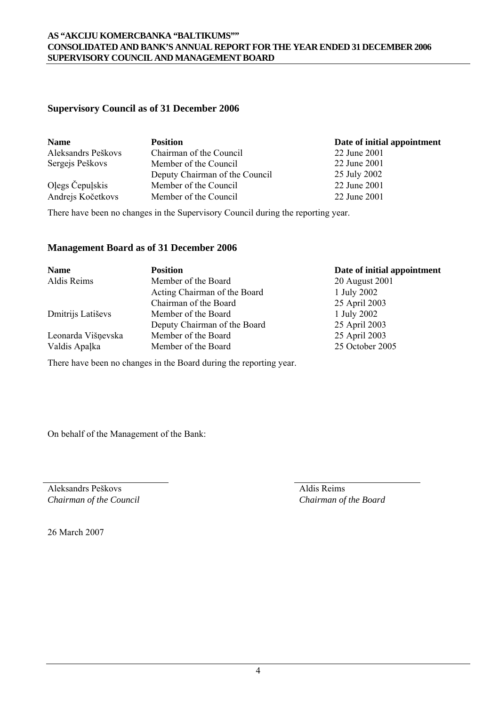# **Supervisory Council as of 31 December 2006**

| <b>Name</b>        | <b>Position</b>                | Date of initial appointment |
|--------------------|--------------------------------|-----------------------------|
| Aleksandrs Peškovs | Chairman of the Council        | 22 June 2001                |
| Sergejs Peškovs    | Member of the Council          | 22 June 2001                |
|                    | Deputy Chairman of the Council | 25 July 2002                |
| Olegs Čepulskis    | Member of the Council          | 22 June 2001                |
| Andrejs Kočetkovs  | Member of the Council          | 22 June 2001                |

There have been no changes in the Supervisory Council during the reporting year.

# **Management Board as of 31 December 2006**

| <b>Name</b>        | <b>Position</b>              | Date of initial appointment |
|--------------------|------------------------------|-----------------------------|
| Aldis Reims        | Member of the Board          | 20 August 2001              |
|                    | Acting Chairman of the Board | 1 July 2002                 |
|                    | Chairman of the Board        | 25 April 2003               |
| Dmitrijs Latiševs  | Member of the Board          | 1 July 2002                 |
|                    | Deputy Chairman of the Board | 25 April 2003               |
| Leonarda Višņevska | Member of the Board          | 25 April 2003               |
| Valdis Apaļka      | Member of the Board          | 25 October 2005             |

There have been no changes in the Board during the reporting year.

On behalf of the Management of the Bank:

Aleksandrs Peškovs *Chairman of the Council*   Aldis Reims *Chairman of the Board*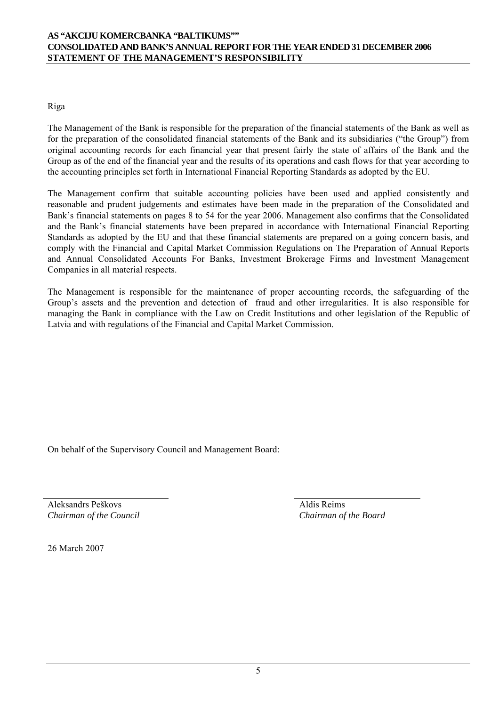#### **AS "AKCIJU KOMERCBANKA "BALTIKUMS"" CONSOLIDATED AND BANK'S ANNUAL REPORT FOR THE YEAR ENDED 31 DECEMBER 2006 STATEMENT OF THE MANAGEMENT'S RESPONSIBILITY**

Riga

The Management of the Bank is responsible for the preparation of the financial statements of the Bank as well as for the preparation of the consolidated financial statements of the Bank and its subsidiaries ("the Group") from original accounting records for each financial year that present fairly the state of affairs of the Bank and the Group as of the end of the financial year and the results of its operations and cash flows for that year according to the accounting principles set forth in International Financial Reporting Standards as adopted by the EU.

The Management confirm that suitable accounting policies have been used and applied consistently and reasonable and prudent judgements and estimates have been made in the preparation of the Consolidated and Bank's financial statements on pages 8 to 54 for the year 2006. Management also confirms that the Consolidated and the Bank's financial statements have been prepared in accordance with International Financial Reporting Standards as adopted by the EU and that these financial statements are prepared on a going concern basis, and comply with the Financial and Capital Market Commission Regulations on The Preparation of Annual Reports and Annual Consolidated Accounts For Banks, Investment Brokerage Firms and Investment Management Companies in all material respects.

The Management is responsible for the maintenance of proper accounting records, the safeguarding of the Group's assets and the prevention and detection of fraud and other irregularities. It is also responsible for managing the Bank in compliance with the Law on Credit Institutions and other legislation of the Republic of Latvia and with regulations of the Financial and Capital Market Commission.

On behalf of the Supervisory Council and Management Board:

Aleksandrs Peškovs *Chairman of the Council*  Aldis Reims *Chairman of the Board*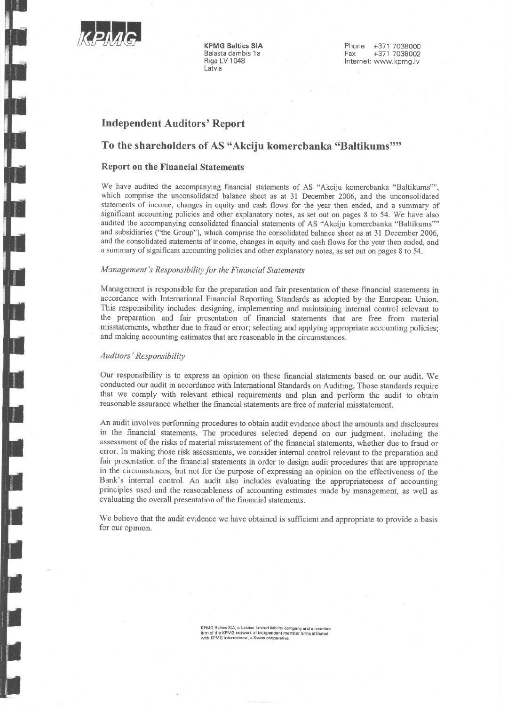

**KPMG Baltics SIA** Balasta dambis 1a **Riga LV 1048** Latvia

Phone +371 7038000 Fax +371 7038002 Internet: www.kpmg.lv

#### **Independent Auditors' Report**

#### To the shareholders of AS "Akciju komercbanka "Baltikums""

#### **Report on the Financial Statements**

We have audited the accompanying financial statements of AS "Akciju komercbanka "Baltikums"" which comprise the unconsolidated balance sheet as at 31 December 2006, and the unconsolidated statements of income, changes in equity and cash flows for the year then ended, and a summary of significant accounting policies and other explanatory notes, as set out on pages 8 to 54. We have also audited the accompanying consolidated financial statements of AS "Akciju komercbanka "Baltikums"" and subsidiaries ("the Group"), which comprise the consolidated balance sheet as at 31 December 2006, and the consolidated statements of income, changes in equity and cash flows for the year then ended, and a summary of significant accounting policies and other explanatory notes, as set out on pages 8 to 54.

#### Management's Responsibility for the Financial Statements

Management is responsible for the preparation and fair presentation of these financial statements in accordance with International Financial Reporting Standards as adopted by the European Union. This responsibility includes: designing, implementing and maintaining internal control relevant to the preparation and fair presentation of financial statements that are free from material misstatements, whether due to fraud or error; selecting and applying appropriate accounting policies; and making accounting estimates that are reasonable in the circumstances.

#### Auditors' Responsibility

Our responsibility is to express an opinion on these financial statements based on our audit. We conducted our audit in accordance with International Standards on Auditing. Those standards require that we comply with relevant ethical requirements and plan and perform the audit to obtain reasonable assurance whether the financial statements are free of material misstatement.

An audit involves performing procedures to obtain audit evidence about the amounts and disclosures in the financial statements. The procedures selected depend on our judgment, including the assessment of the risks of material misstatement of the financial statements, whether due to fraud or error. In making those risk assessments, we consider internal control relevant to the preparation and fair presentation of the financial statements in order to design audit procedures that are appropriate in the circumstances, but not for the purpose of expressing an opinion on the effectiveness of the Bank's internal control. An audit also includes evaluating the appropriateness of accounting principles used and the reasonableness of accounting estimates made by management, as well as evaluating the overall presentation of the financial statements.

We believe that the audit evidence we have obtained is sufficient and appropriate to provide a basis for our opinion.

KPMG Baltics SIA, a Latvian limited liability company and a membe<br>firm of the KPMG network of independent member firms affiliated<br>with KPMG International, a Swiss cooperative.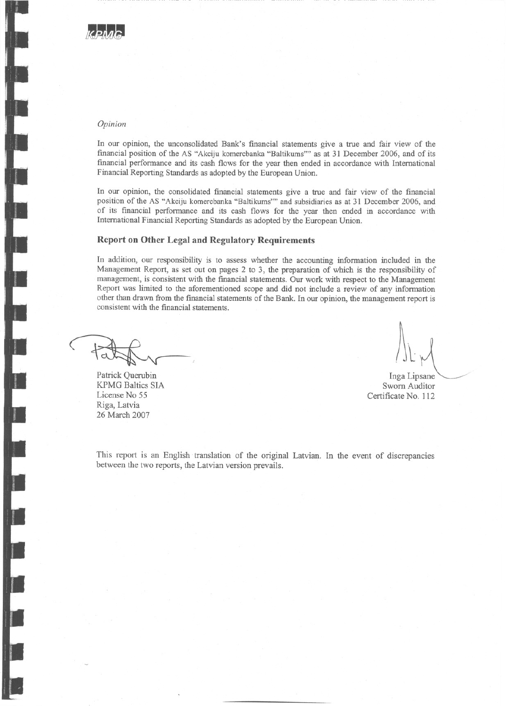

#### Opinion

In our opinion, the unconsolidated Bank's financial statements give a true and fair view of the financial position of the AS "Akciju komercbanka "Baltikums"" as at 31 December 2006, and of its financial performance and its cash flows for the year then ended in accordance with International Financial Reporting Standards as adopted by the European Union.

In our opinion, the consolidated financial statements give a true and fair view of the financial position of the AS "Akciju komercbanka "Baltikums"" and subsidiaries as at 31 December 2006, and of its financial performance and its cash flows for the year then ended in accordance with International Financial Reporting Standards as adopted by the European Union.

#### **Report on Other Legal and Regulatory Requirements**

In addition, our responsibility is to assess whether the accounting information included in the Management Report, as set out on pages 2 to 3, the preparation of which is the responsibility of management, is consistent with the financial statements. Our work with respect to the Management Report was limited to the aforementioned scope and did not include a review of any information other than drawn from the financial statements of the Bank. In our opinion, the management report is consistent with the financial statements.

Patrick Ouerubin **KPMG Baltics SIA** License No 55 Riga, Latvia 26 March 2007

Inga Lipsane Sworn Auditor Certificate No. 112

This report is an English translation of the original Latvian. In the event of discrepancies between the two reports, the Latvian version prevails.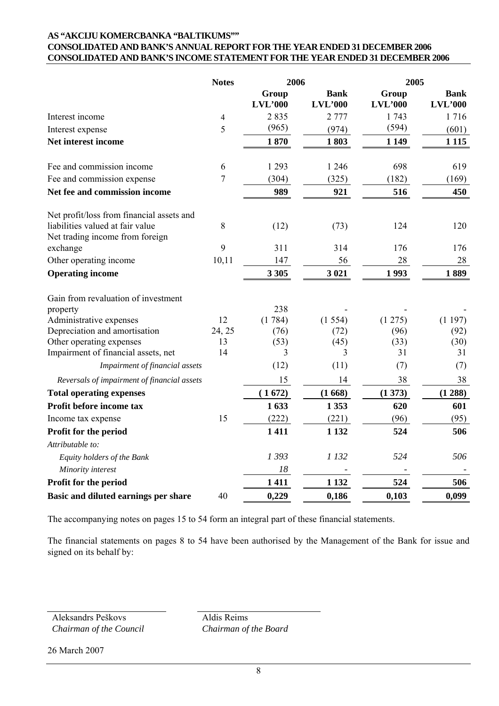#### **AS "AKCIJU KOMERCBANKA "BALTIKUMS"" CONSOLIDATED AND BANK'S ANNUAL REPORT FOR THE YEAR ENDED 31 DECEMBER 2006 CONSOLIDATED AND BANK'S INCOME STATEMENT FOR THE YEAR ENDED 31 DECEMBER 2006**

|                                                                     | <b>Notes</b><br>2006     |                  | 2005                          |                  |                        |
|---------------------------------------------------------------------|--------------------------|------------------|-------------------------------|------------------|------------------------|
|                                                                     |                          | Group<br>LVL'000 | <b>Bank</b><br><b>LVL'000</b> | Group<br>LVL'000 | <b>Bank</b><br>LVL'000 |
| Interest income                                                     | $\overline{\mathcal{A}}$ | 2835             | 2 7 7 7                       | 1743             | 1716                   |
| Interest expense                                                    | 5                        | (965)            | (974)                         | (594)            | (601)                  |
| Net interest income                                                 |                          | 1870             | 1803                          | 1 1 4 9          | 1 1 1 5                |
| Fee and commission income                                           | 6                        | 1 2 9 3          | 1 2 4 6                       | 698              | 619                    |
| Fee and commission expense                                          | 7                        | (304)            | (325)                         | (182)            | (169)                  |
| Net fee and commission income                                       |                          | 989              | 921                           | 516              | 450                    |
| Net profit/loss from financial assets and                           |                          |                  |                               |                  |                        |
| liabilities valued at fair value<br>Net trading income from foreign | 8                        | (12)             | (73)                          | 124              | 120                    |
| exchange                                                            | 9                        | 311              | 314                           | 176              | 176                    |
| Other operating income                                              | 10, 11                   | 147              | 56                            | 28               | 28                     |
| <b>Operating income</b>                                             |                          | 3 3 0 5          | 3 0 21                        | 1993             | 1889                   |
| Gain from revaluation of investment                                 |                          |                  |                               |                  |                        |
| property                                                            |                          | 238              |                               |                  |                        |
| Administrative expenses                                             | 12                       | (1784)           | (1554)                        | (1275)           | (1197)                 |
| Depreciation and amortisation                                       | 24, 25                   | (76)             | (72)                          | (96)             | (92)                   |
| Other operating expenses                                            | 13                       | (53)             | (45)                          | (33)             | (30)                   |
| Impairment of financial assets, net                                 | 14                       | 3                | 3                             | 31               | 31                     |
| Impairment of financial assets                                      |                          | (12)             | (11)                          | (7)              | (7)                    |
| Reversals of impairment of financial assets                         |                          | 15               | 14                            | 38               | 38                     |
| <b>Total operating expenses</b>                                     |                          | (1672)           | (1668)                        | (1373)           | (1288)                 |
| Profit before income tax                                            |                          | 1633             | 1 3 5 3                       | 620              | 601                    |
| Income tax expense                                                  | 15                       | (222)            | (221)                         | (96)             | (95)                   |
| Profit for the period                                               |                          | 1411             | 1 1 3 2                       | 524              | 506                    |
| Attributable to:                                                    |                          |                  |                               |                  |                        |
| Equity holders of the Bank                                          |                          | 1 3 9 3          | 1 132                         | 524              | 506                    |
| Minority interest                                                   |                          | 18               |                               |                  |                        |
| Profit for the period                                               |                          | 1411             | 1 1 3 2                       | 524              | 506                    |
| Basic and diluted earnings per share                                | 40                       | 0,229            | 0,186                         | 0,103            | 0,099                  |

The accompanying notes on pages 15 to 54 form an integral part of these financial statements.

The financial statements on pages 8 to 54 have been authorised by the Management of the Bank for issue and signed on its behalf by:

Aleksandrs Peškovs *Chairman of the Council*  Aldis Reims *Chairman of the Board*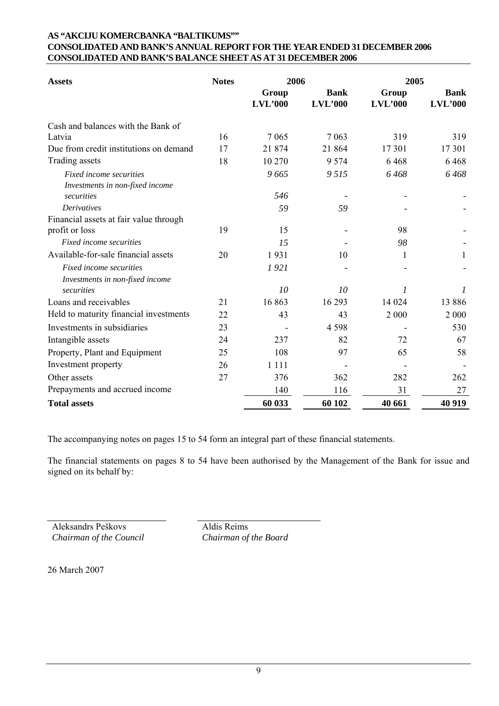#### **AS "AKCIJU KOMERCBANKA "BALTIKUMS"" CONSOLIDATED AND BANK'S ANNUAL REPORT FOR THE YEAR ENDED 31 DECEMBER 2006 CONSOLIDATED AND BANK'S BALANCE SHEET AS AT 31 DECEMBER 2006**

| <b>Assets</b>                          | <b>Notes</b> | 2006           |             | 2005    |             |
|----------------------------------------|--------------|----------------|-------------|---------|-------------|
|                                        |              | Group          | <b>Bank</b> | Group   | <b>Bank</b> |
|                                        |              | <b>LVL'000</b> | LVL'000     | LVL'000 | LVL'000     |
| Cash and balances with the Bank of     |              |                |             |         |             |
| Latvia                                 | 16           | 7 0 6 5        | 7 0 6 3     | 319     | 319         |
| Due from credit institutions on demand | 17           | 21 874         | 21 864      | 17 301  | 17 301      |
| Trading assets                         | 18           | 10 270         | 9 5 7 4     | 6468    | 6468        |
| Fixed income securities                |              | 9665           | 9 5 1 5     | 6468    | 6468        |
| Investments in non-fixed income        |              |                |             |         |             |
| securities                             |              | 546            |             |         |             |
| <b>Derivatives</b>                     |              | 59             | 59          |         |             |
| Financial assets at fair value through |              |                |             |         |             |
| profit or loss                         | 19           | 15             |             | 98      |             |
| Fixed income securities                |              | 15             |             | 98      |             |
| Available-for-sale financial assets    | 20           | 1931           | 10          | 1       | 1           |
| Fixed income securities                |              | 1921           |             |         |             |
| Investments in non-fixed income        |              |                |             |         |             |
| securities                             |              | 10             | 10          | 1       | 1           |
| Loans and receivables                  | 21           | 16863          | 16 29 3     | 14 0 24 | 13886       |
| Held to maturity financial investments | 22           | 43             | 43          | 2 000   | 2 000       |
| Investments in subsidiaries            | 23           |                | 4 5 9 8     |         | 530         |
| Intangible assets                      | 24           | 237            | 82          | 72      | 67          |
| Property, Plant and Equipment          | 25           | 108            | 97          | 65      | 58          |
| Investment property                    | 26           | 1 1 1 1        |             |         |             |
| Other assets                           | 27           | 376            | 362         | 282     | 262         |
| Prepayments and accrued income         |              | 140            | 116         | 31      | 27          |
| <b>Total assets</b>                    |              | 60 033         | 60 102      | 40 661  | 40 919      |

The accompanying notes on pages 15 to 54 form an integral part of these financial statements.

The financial statements on pages 8 to 54 have been authorised by the Management of the Bank for issue and signed on its behalf by:

Aleksandrs Peškovs *Chairman of the Council*  Aldis Reims *Chairman of the Board*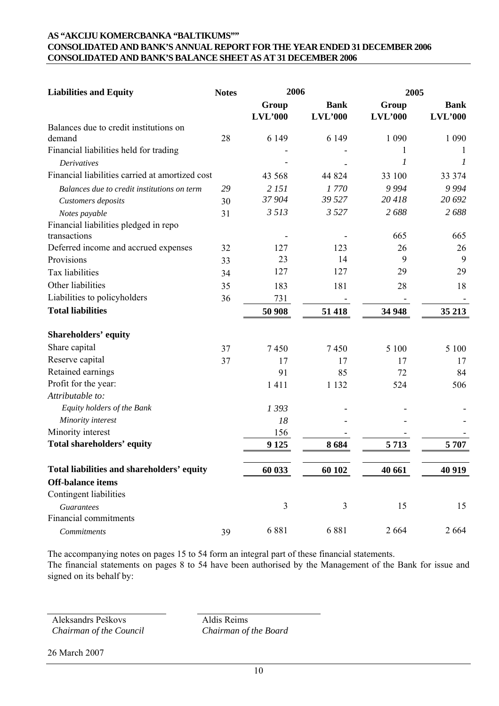#### **AS "AKCIJU KOMERCBANKA "BALTIKUMS"" CONSOLIDATED AND BANK'S ANNUAL REPORT FOR THE YEAR ENDED 31 DECEMBER 2006 CONSOLIDATED AND BANK'S BALANCE SHEET AS AT 31 DECEMBER 2006**

| <b>Liabilities and Equity</b>                   | <b>Notes</b> | 2006           |             | 2005           |                |
|-------------------------------------------------|--------------|----------------|-------------|----------------|----------------|
|                                                 |              | Group          | <b>Bank</b> | Group          | <b>Bank</b>    |
|                                                 |              | LVL'000        | LVL'000     | <b>LVL'000</b> | <b>LVL'000</b> |
| Balances due to credit institutions on          |              |                |             |                |                |
| demand                                          | 28           | 6 1 4 9        | 6 1 4 9     | 1 0 9 0        | 1 0 9 0        |
| Financial liabilities held for trading          |              |                |             | 1              |                |
| <b>Derivatives</b>                              |              |                |             | 1              | 1              |
| Financial liabilities carried at amortized cost |              | 43 5 68        | 44 824      | 33 100         | 33 374         |
| Balances due to credit institutions on term     | 29           | 2 151          | 1770        | 9 9 9 4        | 9 9 9 4        |
| Customers deposits                              | 30           | 37 904         | 39 5 27     | 20418          | 20 692         |
| Notes payable                                   | 31           | 3 5 1 3        | 3 5 2 7     | 2688           | 2688           |
| Financial liabilities pledged in repo           |              |                |             |                |                |
| transactions                                    |              |                |             | 665            | 665            |
| Deferred income and accrued expenses            | 32           | 127<br>23      | 123         | 26             | 26<br>9        |
| Provisions                                      | 33           |                | 14          | 9              |                |
| Tax liabilities                                 | 34           | 127            | 127         | 29             | 29             |
| Other liabilities                               | 35           | 183            | 181         | 28             | 18             |
| Liabilities to policyholders                    | 36           | 731            |             |                |                |
| <b>Total liabilities</b>                        |              | 50 908         | 51 418      | 34 948         | 35 213         |
| <b>Shareholders' equity</b>                     |              |                |             |                |                |
| Share capital                                   | 37           | 7450           | 7450        | 5 100          | 5 100          |
| Reserve capital                                 | 37           | 17             | 17          | 17             | 17             |
| Retained earnings                               |              | 91             | 85          | 72             | 84             |
| Profit for the year:                            |              | 1411           | 1 1 3 2     | 524            | 506            |
| Attributable to:                                |              |                |             |                |                |
| Equity holders of the Bank                      |              | 1 3 9 3        |             |                |                |
| Minority interest                               |              | 18             |             |                |                |
| Minority interest                               |              | 156            |             |                |                |
| <b>Total shareholders' equity</b>               |              | 9 1 25         | 8684        | 5713           | 5707           |
| Total liabilities and shareholders' equity      |              | 60 033         | 60 102      | 40 661         | 40 919         |
| <b>Off-balance items</b>                        |              |                |             |                |                |
| Contingent liabilities                          |              |                |             |                |                |
| <b>Guarantees</b>                               |              | $\mathfrak{Z}$ | 3           | 15             | 15             |
| <b>Financial commitments</b>                    |              |                |             |                |                |
| Commitments                                     | 39           | 6881           | 6881        | 2 6 6 4        | 2664           |

The accompanying notes on pages 15 to 54 form an integral part of these financial statements. The financial statements on pages 8 to 54 have been authorised by the Management of the Bank for issue and signed on its behalf by:

Aleksandrs Peškovs *Chairman of the Council*  Aldis Reims *Chairman of the Board*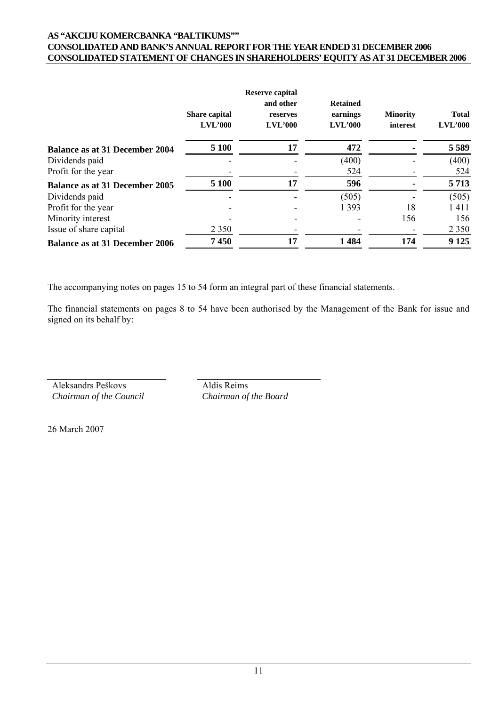#### **AS "AKCIJU KOMERCBANKA "BALTIKUMS"" CONSOLIDATED AND BANK'S ANNUAL REPORT FOR THE YEAR ENDED 31 DECEMBER 2006 CONSOLIDATED STATEMENT OF CHANGES IN SHAREHOLDERS' EQUITY AS AT 31 DECEMBER 2006**

|                                       |               | Reserve capital |                 |                 |              |
|---------------------------------------|---------------|-----------------|-----------------|-----------------|--------------|
|                                       |               | and other       | <b>Retained</b> |                 |              |
|                                       | Share capital | reserves        | earnings        | <b>Minority</b> | <b>Total</b> |
|                                       | LVL'000       | LVL'000         | LVL'000         | interest        | LVL'000      |
| <b>Balance as at 31 December 2004</b> | 5 100         | 17              | 472             |                 | 5 5 8 9      |
| Dividends paid                        |               |                 | (400)           |                 | (400)        |
| Profit for the year                   |               |                 | 524             |                 | 524          |
| <b>Balance as at 31 December 2005</b> | 5 100         | 17              | 596             |                 | 5713         |
| Dividends paid                        |               |                 | (505)           |                 | (505)        |
| Profit for the year                   |               |                 | 1 3 9 3         | 18              | 1411         |
| Minority interest                     |               |                 |                 | 156             | 156          |
| Issue of share capital                | 2 3 5 0       |                 |                 |                 | 2 3 5 0      |
| <b>Balance as at 31 December 2006</b> | 7450          | 17              | 1484            | 174             | 9 1 25       |

The accompanying notes on pages 15 to 54 form an integral part of these financial statements.

The financial statements on pages 8 to 54 have been authorised by the Management of the Bank for issue and signed on its behalf by:

Aleksandrs Peškovs *Chairman of the Council*  Aldis Reims *Chairman of the Board*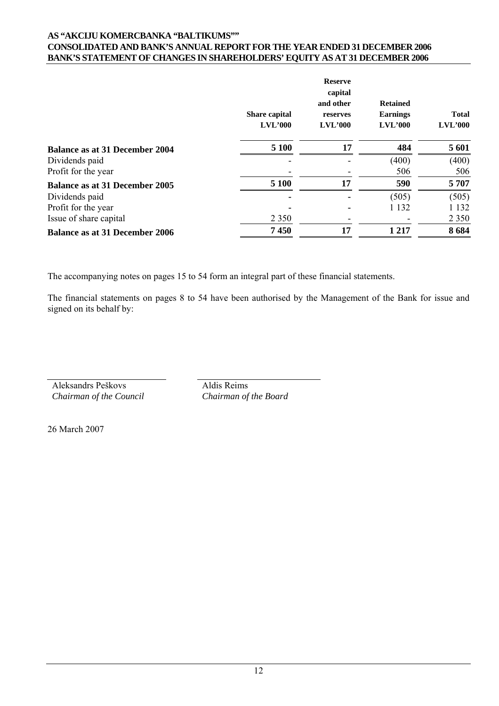#### **AS "AKCIJU KOMERCBANKA "BALTIKUMS"" CONSOLIDATED AND BANK'S ANNUAL REPORT FOR THE YEAR ENDED 31 DECEMBER 2006 BANK'S STATEMENT OF CHANGES IN SHAREHOLDERS' EQUITY AS AT 31 DECEMBER 2006**

|                                       | Share capital<br>LVL'000 | <b>Reserve</b><br>capital<br>and other<br>reserves<br>LVL'000 | <b>Retained</b><br><b>Earnings</b><br>LVL'000 | <b>Total</b><br>LVL'000 |
|---------------------------------------|--------------------------|---------------------------------------------------------------|-----------------------------------------------|-------------------------|
| <b>Balance as at 31 December 2004</b> | 5 100                    | 17                                                            | 484                                           | 5 601                   |
| Dividends paid                        |                          |                                                               | (400)                                         | (400)                   |
| Profit for the year                   |                          |                                                               | 506                                           | 506                     |
| <b>Balance as at 31 December 2005</b> | <b>5 100</b>             | 17                                                            | 590                                           | 5707                    |
| Dividends paid                        |                          |                                                               | (505)                                         | (505)                   |
| Profit for the year                   |                          |                                                               | 1 1 3 2                                       | 1 1 3 2                 |
| Issue of share capital                | 2 3 5 0                  |                                                               |                                               | 2 3 5 0                 |
| <b>Balance as at 31 December 2006</b> | 7450                     | 17                                                            | 1 2 1 7                                       | 8684                    |

The accompanying notes on pages 15 to 54 form an integral part of these financial statements.

The financial statements on pages 8 to 54 have been authorised by the Management of the Bank for issue and signed on its behalf by:

Aleksandrs Peškovs *Chairman of the Council*  Aldis Reims *Chairman of the Board*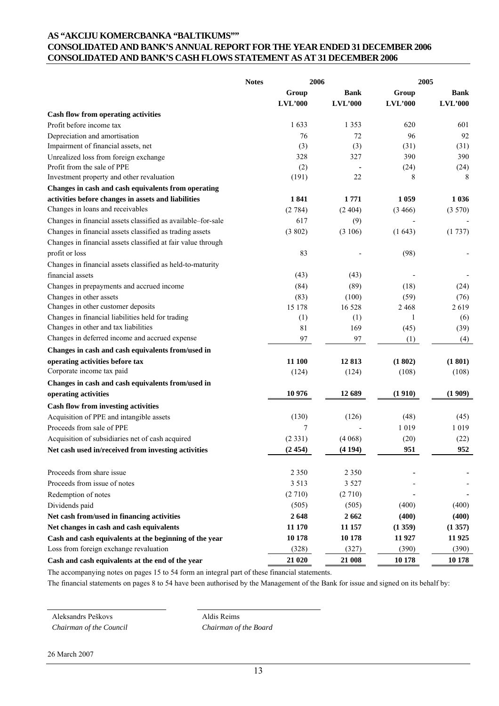#### **AS "AKCIJU KOMERCBANKA "BALTIKUMS"" CONSOLIDATED AND BANK'S ANNUAL REPORT FOR THE YEAR ENDED 31 DECEMBER 2006 CONSOLIDATED AND BANK'S CASH FLOWS STATEMENT AS AT 31 DECEMBER 2006**

|                                                              | 2006<br><b>Notes</b> |                | 2005    |             |
|--------------------------------------------------------------|----------------------|----------------|---------|-------------|
|                                                              | Group                | Bank           | Group   | <b>Bank</b> |
|                                                              | LVL'000              | <b>LVL'000</b> | LVL'000 | LVL'000     |
| Cash flow from operating activities                          |                      |                |         |             |
| Profit before income tax                                     | 1633                 | 1 3 5 3        | 620     | 601         |
| Depreciation and amortisation                                | 76                   | 72             | 96      | 92          |
| Impairment of financial assets, net                          | (3)                  | (3)            | (31)    | (31)        |
| Unrealized loss from foreign exchange                        | 328                  | 327            | 390     | 390         |
| Profit from the sale of PPE                                  | (2)                  | $\blacksquare$ | (24)    | (24)        |
| Investment property and other revaluation                    | (191)                | 22             | 8       | 8           |
| Changes in cash and cash equivalents from operating          |                      |                |         |             |
| activities before changes in assets and liabilities          | 1841                 | 1771           | 1059    | 1 0 36      |
| Changes in loans and receivables                             | (2784)               | (2404)         | (3466)  | (3570)      |
| Changes in financial assets classified as available-for-sale | 617                  | (9)            |         |             |
| Changes in financial assets classified as trading assets     | (3802)               | (3106)         | (1643)  | (1737)      |
| Changes in financial assets classified at fair value through |                      |                |         |             |
| profit or loss                                               | 83                   |                | (98)    |             |
| Changes in financial assets classified as held-to-maturity   |                      |                |         |             |
| financial assets                                             | (43)                 | (43)           |         |             |
| Changes in prepayments and accrued income                    | (84)                 | (89)           | (18)    | (24)        |
| Changes in other assets                                      | (83)                 | (100)          | (59)    | (76)        |
| Changes in other customer deposits                           | 15 178               | 16 5 28        | 2 4 6 8 | 2619        |
| Changes in financial liabilities held for trading            | (1)                  | (1)            | 1       | (6)         |
| Changes in other and tax liabilities                         | 81                   | 169            | (45)    | (39)        |
| Changes in deferred income and accrued expense               | 97                   | 97             | (1)     | (4)         |
| Changes in cash and cash equivalents from/used in            |                      |                |         |             |
| operating activities before tax                              | 11 100               | 12813          | (1802)  | (1801)      |
| Corporate income tax paid                                    | (124)                | (124)          | (108)   | (108)       |
| Changes in cash and cash equivalents from/used in            |                      |                |         |             |
| operating activities                                         | 10 976               | 12 689         | (1910)  | (1909)      |
| Cash flow from investing activities                          |                      |                |         |             |
| Acquisition of PPE and intangible assets                     | (130)                | (126)          | (48)    | (45)        |
| Proceeds from sale of PPE                                    | 7                    |                | 1 0 1 9 | 1019        |
| Acquisition of subsidiaries net of cash acquired             | (2331)               | (4068)         | (20)    | (22)        |
| Net cash used in/received from investing activities          | (2454)               | (4194)         | 951     | 952         |
|                                                              |                      |                |         |             |
| Proceeds from share issue                                    | 2 3 5 0              | 2 3 5 0        |         |             |
| Proceeds from issue of notes                                 | 3 5 1 3              | 3 5 2 7        |         |             |
| Redemption of notes                                          | (2710)               | (2710)         |         |             |
| Dividends paid                                               | (505)                | (505)          | (400)   | (400)       |
| Net cash from/used in financing activities                   | 2648                 | 2 6 6 2        | (400)   | (400)       |
| Net changes in cash and cash equivalents                     | 11 170               | 11 157         | (1359)  | (1357)      |
| Cash and cash equivalents at the beginning of the year       | 10 178               | 10 178         | 11 9 27 | 11 9 25     |
| Loss from foreign exchange revaluation                       | (328)                | (327)          | (390)   | (390)       |
| Cash and cash equivalents at the end of the year             | 21 020               | 21 008         | 10 178  | 10 178      |
|                                                              |                      |                |         |             |

The accompanying notes on pages 15 to 54 form an integral part of these financial statements.

The financial statements on pages 8 to 54 have been authorised by the Management of the Bank for issue and signed on its behalf by:

Aleksandrs Peškovs *Chairman of the Council*  Aldis Reims *Chairman of the Board*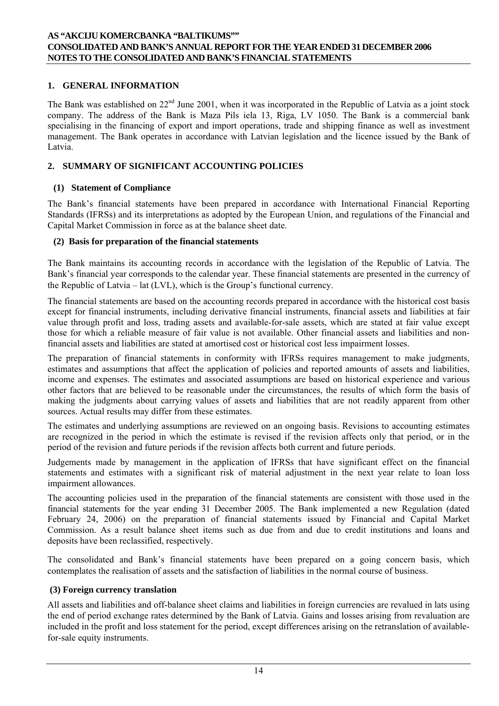# **1. GENERAL INFORMATION**

The Bank was established on 22<sup>nd</sup> June 2001, when it was incorporated in the Republic of Latvia as a joint stock company. The address of the Bank is Maza Pils iela 13, Riga, LV 1050. The Bank is a commercial bank specialising in the financing of export and import operations, trade and shipping finance as well as investment management. The Bank operates in accordance with Latvian legislation and the licence issued by the Bank of Latvia.

# **2. SUMMARY OF SIGNIFICANT ACCOUNTING POLICIES**

# **(1) Statement of Compliance**

The Bank's financial statements have been prepared in accordance with International Financial Reporting Standards (IFRSs) and its interpretations as adopted by the European Union, and regulations of the Financial and Capital Market Commission in force as at the balance sheet date.

# **(2) Basis for preparation of the financial statements**

The Bank maintains its accounting records in accordance with the legislation of the Republic of Latvia. The Bank's financial year corresponds to the calendar year. These financial statements are presented in the currency of the Republic of Latvia – lat (LVL), which is the Group's functional currency.

The financial statements are based on the accounting records prepared in accordance with the historical cost basis except for financial instruments, including derivative financial instruments, financial assets and liabilities at fair value through profit and loss, trading assets and available-for-sale assets, which are stated at fair value except those for which a reliable measure of fair value is not available. Other financial assets and liabilities and nonfinancial assets and liabilities are stated at amortised cost or historical cost less impairment losses.

The preparation of financial statements in conformity with IFRSs requires management to make judgments, estimates and assumptions that affect the application of policies and reported amounts of assets and liabilities, income and expenses. The estimates and associated assumptions are based on historical experience and various other factors that are believed to be reasonable under the circumstances, the results of which form the basis of making the judgments about carrying values of assets and liabilities that are not readily apparent from other sources. Actual results may differ from these estimates.

The estimates and underlying assumptions are reviewed on an ongoing basis. Revisions to accounting estimates are recognized in the period in which the estimate is revised if the revision affects only that period, or in the period of the revision and future periods if the revision affects both current and future periods.

Judgements made by management in the application of IFRSs that have significant effect on the financial statements and estimates with a significant risk of material adjustment in the next year relate to loan loss impairment allowances.

The accounting policies used in the preparation of the financial statements are consistent with those used in the financial statements for the year ending 31 December 2005. The Bank implemented a new Regulation (dated February 24, 2006) on the preparation of financial statements issued by Financial and Capital Market Commission. As a result balance sheet items such as due from and due to credit institutions and loans and deposits have been reclassified, respectively.

The consolidated and Bank's financial statements have been prepared on a going concern basis, which contemplates the realisation of assets and the satisfaction of liabilities in the normal course of business.

# **(3) Foreign currency translation**

All assets and liabilities and off-balance sheet claims and liabilities in foreign currencies are revalued in lats using the end of period exchange rates determined by the Bank of Latvia. Gains and losses arising from revaluation are included in the profit and loss statement for the period, except differences arising on the retranslation of availablefor-sale equity instruments.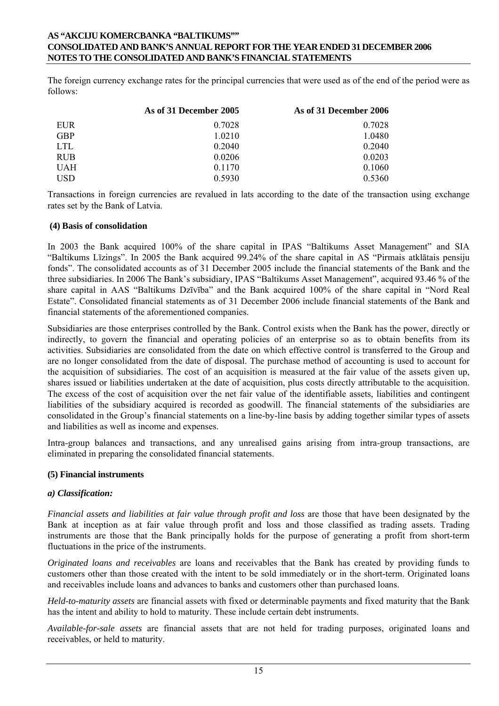The foreign currency exchange rates for the principal currencies that were used as of the end of the period were as follows:

|            | As of 31 December 2005 | As of 31 December 2006 |
|------------|------------------------|------------------------|
| EUR        | 0.7028                 | 0.7028                 |
| <b>GBP</b> | 1.0210                 | 1.0480                 |
| LTL        | 0.2040                 | 0.2040                 |
| <b>RUB</b> | 0.0206                 | 0.0203                 |
| <b>UAH</b> | 0.1170                 | 0.1060                 |
| USD        | 0.5930                 | 0.5360                 |

Transactions in foreign currencies are revalued in lats according to the date of the transaction using exchange rates set by the Bank of Latvia.

#### **(4) Basis of consolidation**

In 2003 the Bank acquired 100% of the share capital in IPAS "Baltikums Asset Management" and SIA "Baltikums Līzings". In 2005 the Bank acquired 99.24% of the share capital in AS "Pirmais atklātais pensiju fonds". The consolidated accounts as of 31 December 2005 include the financial statements of the Bank and the three subsidiaries. In 2006 The Bank's subsidiary, IPAS "Baltikums Asset Management", acquired 93.46 % of the share capital in AAS "Baltikums Dzīvība" and the Bank acquired 100% of the share capital in "Nord Real Estate". Consolidated financial statements as of 31 December 2006 include financial statements of the Bank and financial statements of the aforementioned companies.

Subsidiaries are those enterprises controlled by the Bank. Control exists when the Bank has the power, directly or indirectly, to govern the financial and operating policies of an enterprise so as to obtain benefits from its activities. Subsidiaries are consolidated from the date on which effective control is transferred to the Group and are no longer consolidated from the date of disposal. The purchase method of accounting is used to account for the acquisition of subsidiaries. The cost of an acquisition is measured at the fair value of the assets given up, shares issued or liabilities undertaken at the date of acquisition, plus costs directly attributable to the acquisition. The excess of the cost of acquisition over the net fair value of the identifiable assets, liabilities and contingent liabilities of the subsidiary acquired is recorded as goodwill. The financial statements of the subsidiaries are consolidated in the Group's financial statements on a line-by-line basis by adding together similar types of assets and liabilities as well as income and expenses.

Intra-group balances and transactions, and any unrealised gains arising from intra-group transactions, are eliminated in preparing the consolidated financial statements.

# **(5) Financial instruments**

# *a) Classification:*

*Financial assets and liabilities at fair value through profit and loss* are those that have been designated by the Bank at inception as at fair value through profit and loss and those classified as trading assets. Trading instruments are those that the Bank principally holds for the purpose of generating a profit from short-term fluctuations in the price of the instruments.

*Originated loans and receivables* are loans and receivables that the Bank has created by providing funds to customers other than those created with the intent to be sold immediately or in the short-term. Originated loans and receivables include loans and advances to banks and customers other than purchased loans.

*Held-to-maturity assets* are financial assets with fixed or determinable payments and fixed maturity that the Bank has the intent and ability to hold to maturity. These include certain debt instruments.

*Available-for-sale assets* are financial assets that are not held for trading purposes, originated loans and receivables, or held to maturity.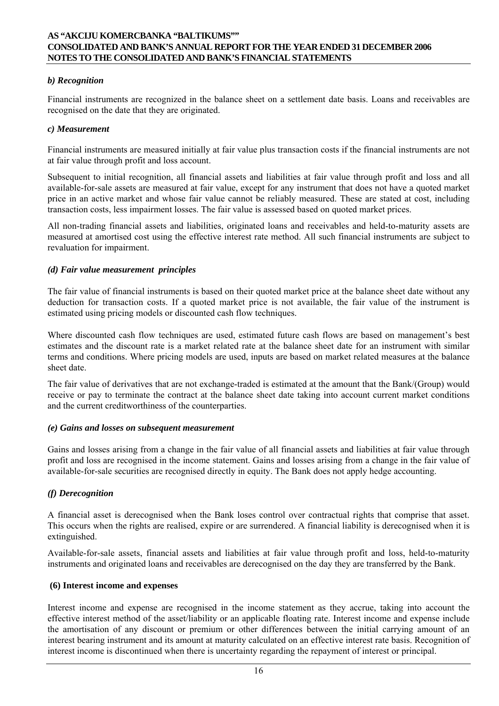# *b) Recognition*

Financial instruments are recognized in the balance sheet on a settlement date basis. Loans and receivables are recognised on the date that they are originated.

#### *c) Measurement*

Financial instruments are measured initially at fair value plus transaction costs if the financial instruments are not at fair value through profit and loss account.

Subsequent to initial recognition, all financial assets and liabilities at fair value through profit and loss and all available-for-sale assets are measured at fair value, except for any instrument that does not have a quoted market price in an active market and whose fair value cannot be reliably measured. These are stated at cost, including transaction costs, less impairment losses. The fair value is assessed based on quoted market prices.

All non-trading financial assets and liabilities, originated loans and receivables and held-to-maturity assets are measured at amortised cost using the effective interest rate method. All such financial instruments are subject to revaluation for impairment.

# *(d) Fair value measurement principles*

The fair value of financial instruments is based on their quoted market price at the balance sheet date without any deduction for transaction costs. If a quoted market price is not available, the fair value of the instrument is estimated using pricing models or discounted cash flow techniques.

Where discounted cash flow techniques are used, estimated future cash flows are based on management's best estimates and the discount rate is a market related rate at the balance sheet date for an instrument with similar terms and conditions. Where pricing models are used, inputs are based on market related measures at the balance sheet date.

The fair value of derivatives that are not exchange-traded is estimated at the amount that the Bank/(Group) would receive or pay to terminate the contract at the balance sheet date taking into account current market conditions and the current creditworthiness of the counterparties.

# *(e) Gains and losses on subsequent measurement*

Gains and losses arising from a change in the fair value of all financial assets and liabilities at fair value through profit and loss are recognised in the income statement. Gains and losses arising from a change in the fair value of available-for-sale securities are recognised directly in equity. The Bank does not apply hedge accounting.

# *(f) Derecognition*

A financial asset is derecognised when the Bank loses control over contractual rights that comprise that asset. This occurs when the rights are realised, expire or are surrendered. A financial liability is derecognised when it is extinguished.

Available-for-sale assets, financial assets and liabilities at fair value through profit and loss, held-to-maturity instruments and originated loans and receivables are derecognised on the day they are transferred by the Bank.

#### **(6) Interest income and expenses**

Interest income and expense are recognised in the income statement as they accrue, taking into account the effective interest method of the asset/liability or an applicable floating rate. Interest income and expense include the amortisation of any discount or premium or other differences between the initial carrying amount of an interest bearing instrument and its amount at maturity calculated on an effective interest rate basis. Recognition of interest income is discontinued when there is uncertainty regarding the repayment of interest or principal.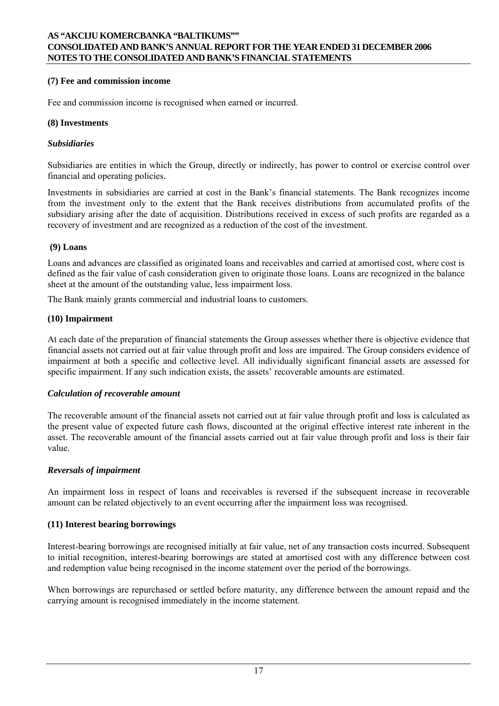#### **(7) Fee and commission income**

Fee and commission income is recognised when earned or incurred.

#### **(8) Investments**

# *Subsidiaries*

Subsidiaries are entities in which the Group, directly or indirectly, has power to control or exercise control over financial and operating policies.

Investments in subsidiaries are carried at cost in the Bank's financial statements. The Bank recognizes income from the investment only to the extent that the Bank receives distributions from accumulated profits of the subsidiary arising after the date of acquisition. Distributions received in excess of such profits are regarded as a recovery of investment and are recognized as a reduction of the cost of the investment.

#### **(9) Loans**

Loans and advances are classified as originated loans and receivables and carried at amortised cost, where cost is defined as the fair value of cash consideration given to originate those loans. Loans are recognized in the balance sheet at the amount of the outstanding value, less impairment loss.

The Bank mainly grants commercial and industrial loans to customers.

#### **(10) Impairment**

At each date of the preparation of financial statements the Group assesses whether there is objective evidence that financial assets not carried out at fair value through profit and loss are impaired. The Group considers evidence of impairment at both a specific and collective level. All individually significant financial assets are assessed for specific impairment. If any such indication exists, the assets' recoverable amounts are estimated.

# *Calculation of recoverable amount*

The recoverable amount of the financial assets not carried out at fair value through profit and loss is calculated as the present value of expected future cash flows, discounted at the original effective interest rate inherent in the asset. The recoverable amount of the financial assets carried out at fair value through profit and loss is their fair value.

#### *Reversals of impairment*

An impairment loss in respect of loans and receivables is reversed if the subsequent increase in recoverable amount can be related objectively to an event occurring after the impairment loss was recognised.

# **(11) Interest bearing borrowings**

Interest-bearing borrowings are recognised initially at fair value, net of any transaction costs incurred. Subsequent to initial recognition, interest-bearing borrowings are stated at amortised cost with any difference between cost and redemption value being recognised in the income statement over the period of the borrowings.

When borrowings are repurchased or settled before maturity, any difference between the amount repaid and the carrying amount is recognised immediately in the income statement.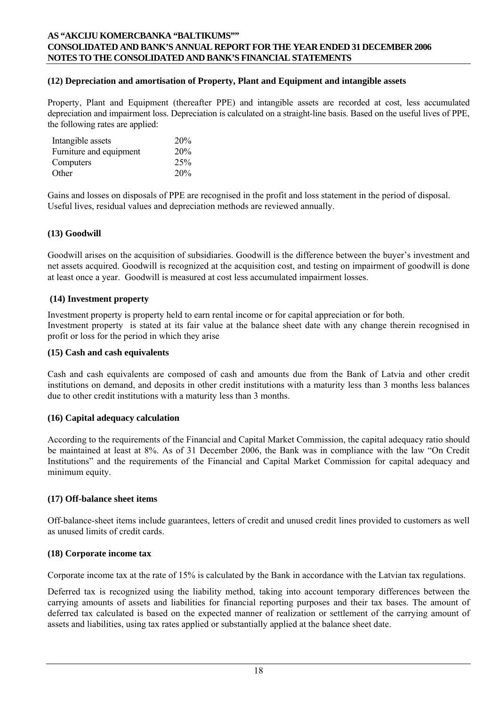#### **(12) Depreciation and amortisation of Property, Plant and Equipment and intangible assets**

Property, Plant and Equipment (thereafter PPE) and intangible assets are recorded at cost, less accumulated depreciation and impairment loss. Depreciation is calculated on a straight-line basis. Based on the useful lives of PPE, the following rates are applied:

| Intangible assets       | 20% |
|-------------------------|-----|
| Furniture and equipment | 20% |
| Computers               | 25% |
| Other                   | 20% |

Gains and losses on disposals of PPE are recognised in the profit and loss statement in the period of disposal. Useful lives, residual values and depreciation methods are reviewed annually.

#### **(13) Goodwill**

Goodwill arises on the acquisition of subsidiaries. Goodwill is the difference between the buyer's investment and net assets acquired. Goodwill is recognized at the acquisition cost, and testing on impairment of goodwill is done at least once a year. Goodwill is measured at cost less accumulated impairment losses.

#### **(14) Investment property**

Investment property is property held to earn rental income or for capital appreciation or for both. Investment property is stated at its fair value at the balance sheet date with any change therein recognised in profit or loss for the period in which they arise

#### **(15) Cash and cash equivalents**

Cash and cash equivalents are composed of cash and amounts due from the Bank of Latvia and other credit institutions on demand, and deposits in other credit institutions with a maturity less than 3 months less balances due to other credit institutions with a maturity less than 3 months.

#### **(16) Capital adequacy calculation**

According to the requirements of the Financial and Capital Market Commission, the capital adequacy ratio should be maintained at least at 8%. As of 31 December 2006, the Bank was in compliance with the law "On Credit Institutions" and the requirements of the Financial and Capital Market Commission for capital adequacy and minimum equity.

#### **(17) Off-balance sheet items**

Off-balance-sheet items include guarantees, letters of credit and unused credit lines provided to customers as well as unused limits of credit cards.

#### **(18) Corporate income tax**

Corporate income tax at the rate of 15% is calculated by the Bank in accordance with the Latvian tax regulations.

Deferred tax is recognized using the liability method, taking into account temporary differences between the carrying amounts of assets and liabilities for financial reporting purposes and their tax bases. The amount of deferred tax calculated is based on the expected manner of realization or settlement of the carrying amount of assets and liabilities, using tax rates applied or substantially applied at the balance sheet date.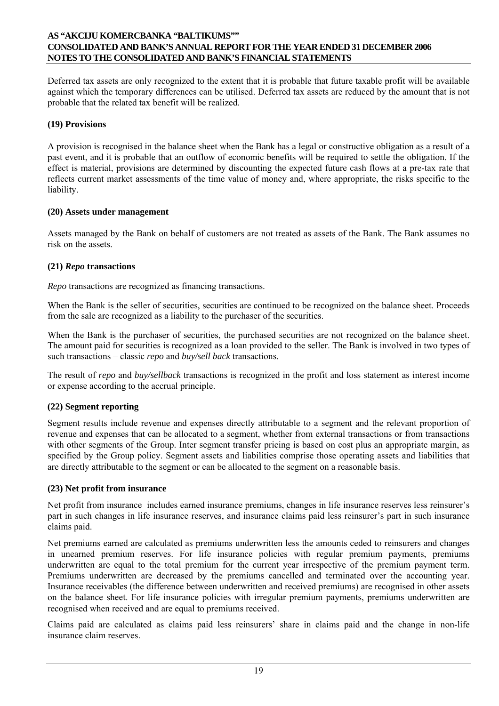Deferred tax assets are only recognized to the extent that it is probable that future taxable profit will be available against which the temporary differences can be utilised. Deferred tax assets are reduced by the amount that is not probable that the related tax benefit will be realized.

#### **(19) Provisions**

A provision is recognised in the balance sheet when the Bank has a legal or constructive obligation as a result of a past event, and it is probable that an outflow of economic benefits will be required to settle the obligation. If the effect is material, provisions are determined by discounting the expected future cash flows at a pre-tax rate that reflects current market assessments of the time value of money and, where appropriate, the risks specific to the liability.

#### **(20) Assets under management**

Assets managed by the Bank on behalf of customers are not treated as assets of the Bank. The Bank assumes no risk on the assets.

# **(21)** *Repo* **transactions**

*Repo* transactions are recognized as financing transactions.

When the Bank is the seller of securities, securities are continued to be recognized on the balance sheet. Proceeds from the sale are recognized as a liability to the purchaser of the securities.

When the Bank is the purchaser of securities, the purchased securities are not recognized on the balance sheet. The amount paid for securities is recognized as a loan provided to the seller. The Bank is involved in two types of such transactions – classic *repo* and *buy/sell back* transactions.

The result of *repo* and *buy/sellback* transactions is recognized in the profit and loss statement as interest income or expense according to the accrual principle.

# **(22) Segment reporting**

Segment results include revenue and expenses directly attributable to a segment and the relevant proportion of revenue and expenses that can be allocated to a segment, whether from external transactions or from transactions with other segments of the Group. Inter segment transfer pricing is based on cost plus an appropriate margin, as specified by the Group policy. Segment assets and liabilities comprise those operating assets and liabilities that are directly attributable to the segment or can be allocated to the segment on a reasonable basis.

#### **(23) Net profit from insurance**

Net profit from insurance includes earned insurance premiums, changes in life insurance reserves less reinsurer's part in such changes in life insurance reserves, and insurance claims paid less reinsurer's part in such insurance claims paid.

Net premiums earned are calculated as premiums underwritten less the amounts ceded to reinsurers and changes in unearned premium reserves. For life insurance policies with regular premium payments, premiums underwritten are equal to the total premium for the current year irrespective of the premium payment term. Premiums underwritten are decreased by the premiums cancelled and terminated over the accounting year. Insurance receivables (the difference between underwritten and received premiums) are recognised in other assets on the balance sheet. For life insurance policies with irregular premium payments, premiums underwritten are recognised when received and are equal to premiums received.

Claims paid are calculated as claims paid less reinsurers' share in claims paid and the change in non-life insurance claim reserves.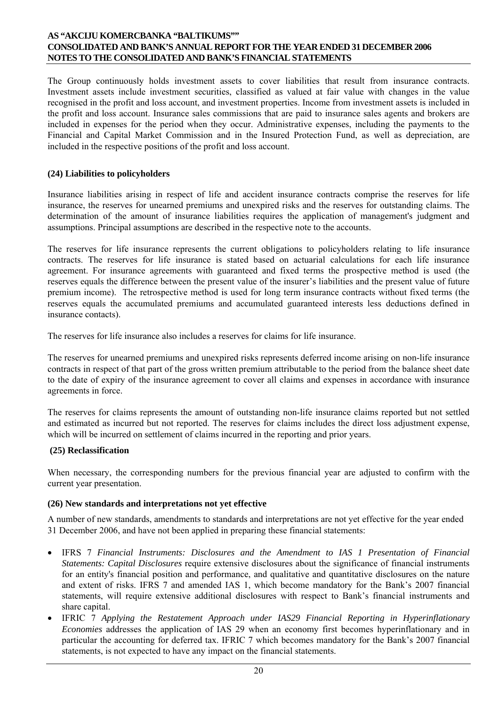The Group continuously holds investment assets to cover liabilities that result from insurance contracts. Investment assets include investment securities, classified as valued at fair value with changes in the value recognised in the profit and loss account, and investment properties. Income from investment assets is included in the profit and loss account. Insurance sales commissions that are paid to insurance sales agents and brokers are included in expenses for the period when they occur. Administrative expenses, including the payments to the Financial and Capital Market Commission and in the Insured Protection Fund, as well as depreciation, are included in the respective positions of the profit and loss account.

# **(24) Liabilities to policyholders**

Insurance liabilities arising in respect of life and accident insurance contracts comprise the reserves for life insurance, the reserves for unearned premiums and unexpired risks and the reserves for outstanding claims. The determination of the amount of insurance liabilities requires the application of management's judgment and assumptions. Principal assumptions are described in the respective note to the accounts.

The reserves for life insurance represents the current obligations to policyholders relating to life insurance contracts. The reserves for life insurance is stated based on actuarial calculations for each life insurance agreement. For insurance agreements with guaranteed and fixed terms the prospective method is used (the reserves equals the difference between the present value of the insurer's liabilities and the present value of future premium income). The retrospective method is used for long term insurance contracts without fixed terms (the reserves equals the accumulated premiums and accumulated guaranteed interests less deductions defined in insurance contacts).

The reserves for life insurance also includes a reserves for claims for life insurance.

The reserves for unearned premiums and unexpired risks represents deferred income arising on non-life insurance contracts in respect of that part of the gross written premium attributable to the period from the balance sheet date to the date of expiry of the insurance agreement to cover all claims and expenses in accordance with insurance agreements in force.

The reserves for claims represents the amount of outstanding non-life insurance claims reported but not settled and estimated as incurred but not reported. The reserves for claims includes the direct loss adjustment expense, which will be incurred on settlement of claims incurred in the reporting and prior years.

#### **(25) Reclassification**

When necessary, the corresponding numbers for the previous financial year are adjusted to confirm with the current year presentation.

#### **(26) New standards and interpretations not yet effective**

A number of new standards, amendments to standards and interpretations are not yet effective for the year ended 31 December 2006, and have not been applied in preparing these financial statements:

- IFRS 7 *Financial Instruments: Disclosures and the Amendment to IAS 1 Presentation of Financial Statements: Capital Disclosures* require extensive disclosures about the significance of financial instruments for an entity's financial position and performance, and qualitative and quantitative disclosures on the nature and extent of risks. IFRS 7 and amended IAS 1, which become mandatory for the Bank's 2007 financial statements, will require extensive additional disclosures with respect to Bank's financial instruments and share capital.
- IFRIC 7 *Applying the Restatement Approach under IAS29 Financial Reporting in Hyperinflationary Economies* addresses the application of IAS 29 when an economy first becomes hyperinflationary and in particular the accounting for deferred tax. IFRIC 7 which becomes mandatory for the Bank's 2007 financial statements, is not expected to have any impact on the financial statements.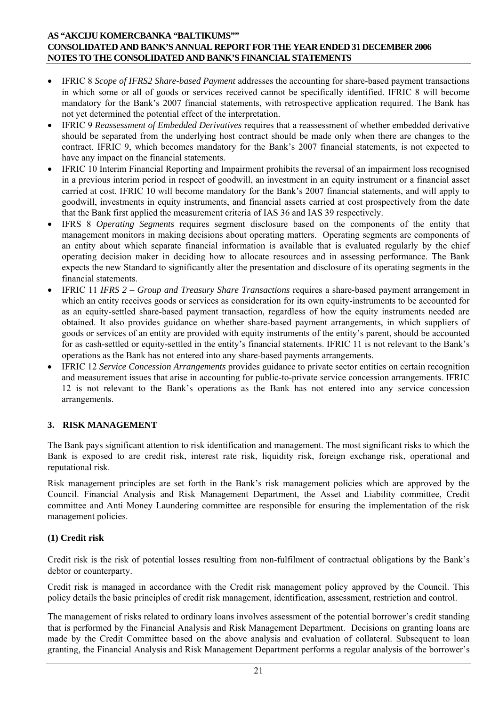- IFRIC 8 *Scope of IFRS2 Share-based Payment* addresses the accounting for share-based payment transactions in which some or all of goods or services received cannot be specifically identified. IFRIC 8 will become mandatory for the Bank's 2007 financial statements, with retrospective application required. The Bank has not yet determined the potential effect of the interpretation.
- IFRIC 9 *Reassessment of Embedded Derivatives* requires that a reassessment of whether embedded derivative should be separated from the underlying host contract should be made only when there are changes to the contract. IFRIC 9, which becomes mandatory for the Bank's 2007 financial statements, is not expected to have any impact on the financial statements.
- IFRIC 10 Interim Financial Reporting and Impairment prohibits the reversal of an impairment loss recognised in a previous interim period in respect of goodwill, an investment in an equity instrument or a financial asset carried at cost. IFRIC 10 will become mandatory for the Bank's 2007 financial statements, and will apply to goodwill, investments in equity instruments, and financial assets carried at cost prospectively from the date that the Bank first applied the measurement criteria of IAS 36 and IAS 39 respectively.
- IFRS 8 *Operating Segments* requires segment disclosure based on the components of the entity that management monitors in making decisions about operating matters. Operating segments are components of an entity about which separate financial information is available that is evaluated regularly by the chief operating decision maker in deciding how to allocate resources and in assessing performance. The Bank expects the new Standard to significantly alter the presentation and disclosure of its operating segments in the financial statements.
- IFRIC 11 *IFRS 2 Group and Treasury Share Transactions* requires a share-based payment arrangement in which an entity receives goods or services as consideration for its own equity-instruments to be accounted for as an equity-settled share-based payment transaction, regardless of how the equity instruments needed are obtained. It also provides guidance on whether share-based payment arrangements, in which suppliers of goods or services of an entity are provided with equity instruments of the entity's parent, should be accounted for as cash-settled or equity-settled in the entity's financial statements. IFRIC 11 is not relevant to the Bank's operations as the Bank has not entered into any share-based payments arrangements.
- IFRIC 12 *Service Concession Arrangements* provides guidance to private sector entities on certain recognition and measurement issues that arise in accounting for public-to-private service concession arrangements. IFRIC 12 is not relevant to the Bank's operations as the Bank has not entered into any service concession arrangements.

# **3. RISK MANAGEMENT**

The Bank pays significant attention to risk identification and management. The most significant risks to which the Bank is exposed to are credit risk, interest rate risk, liquidity risk, foreign exchange risk, operational and reputational risk.

Risk management principles are set forth in the Bank's risk management policies which are approved by the Council. Financial Analysis and Risk Management Department, the Asset and Liability committee, Credit committee and Anti Money Laundering committee are responsible for ensuring the implementation of the risk management policies.

# **(1) Credit risk**

Credit risk is the risk of potential losses resulting from non-fulfilment of contractual obligations by the Bank's debtor or counterparty.

Credit risk is managed in accordance with the Credit risk management policy approved by the Council. This policy details the basic principles of credit risk management, identification, assessment, restriction and control.

The management of risks related to ordinary loans involves assessment of the potential borrower's credit standing that is performed by the Financial Analysis and Risk Management Department. Decisions on granting loans are made by the Credit Committee based on the above analysis and evaluation of collateral. Subsequent to loan granting, the Financial Analysis and Risk Management Department performs a regular analysis of the borrower's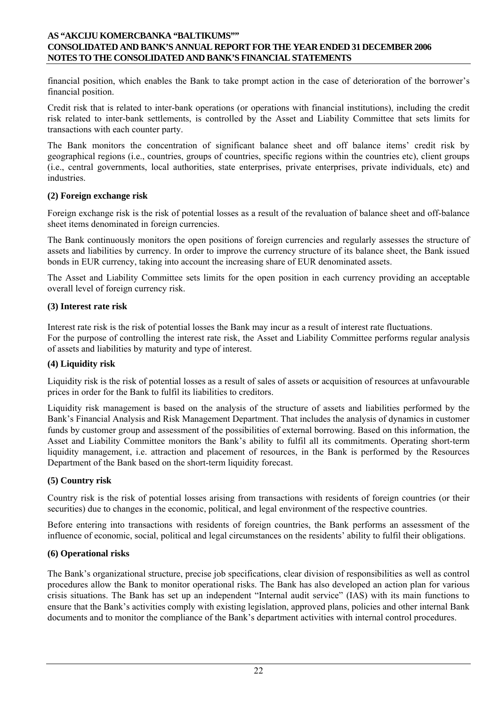financial position, which enables the Bank to take prompt action in the case of deterioration of the borrower's financial position.

Credit risk that is related to inter-bank operations (or operations with financial institutions), including the credit risk related to inter-bank settlements, is controlled by the Asset and Liability Committee that sets limits for transactions with each counter party.

The Bank monitors the concentration of significant balance sheet and off balance items' credit risk by geographical regions (i.e., countries, groups of countries, specific regions within the countries etc), client groups (i.e., central governments, local authorities, state enterprises, private enterprises, private individuals, etc) and industries.

#### **(2) Foreign exchange risk**

Foreign exchange risk is the risk of potential losses as a result of the revaluation of balance sheet and off-balance sheet items denominated in foreign currencies.

The Bank continuously monitors the open positions of foreign currencies and regularly assesses the structure of assets and liabilities by currency. In order to improve the currency structure of its balance sheet, the Bank issued bonds in EUR currency, taking into account the increasing share of EUR denominated assets.

The Asset and Liability Committee sets limits for the open position in each currency providing an acceptable overall level of foreign currency risk.

# **(3) Interest rate risk**

Interest rate risk is the risk of potential losses the Bank may incur as a result of interest rate fluctuations. For the purpose of controlling the interest rate risk, the Asset and Liability Committee performs regular analysis of assets and liabilities by maturity and type of interest.

# **(4) Liquidity risk**

Liquidity risk is the risk of potential losses as a result of sales of assets or acquisition of resources at unfavourable prices in order for the Bank to fulfil its liabilities to creditors.

Liquidity risk management is based on the analysis of the structure of assets and liabilities performed by the Bank's Financial Analysis and Risk Management Department. That includes the analysis of dynamics in customer funds by customer group and assessment of the possibilities of external borrowing. Based on this information, the Asset and Liability Committee monitors the Bank's ability to fulfil all its commitments. Operating short-term liquidity management, i.e. attraction and placement of resources, in the Bank is performed by the Resources Department of the Bank based on the short-term liquidity forecast.

# **(5) Country risk**

Country risk is the risk of potential losses arising from transactions with residents of foreign countries (or their securities) due to changes in the economic, political, and legal environment of the respective countries.

Before entering into transactions with residents of foreign countries, the Bank performs an assessment of the influence of economic, social, political and legal circumstances on the residents' ability to fulfil their obligations.

#### **(6) Operational risks**

The Bank's organizational structure, precise job specifications, clear division of responsibilities as well as control procedures allow the Bank to monitor operational risks. The Bank has also developed an action plan for various crisis situations. The Bank has set up an independent "Internal audit service" (IAS) with its main functions to ensure that the Bank's activities comply with existing legislation, approved plans, policies and other internal Bank documents and to monitor the compliance of the Bank's department activities with internal control procedures.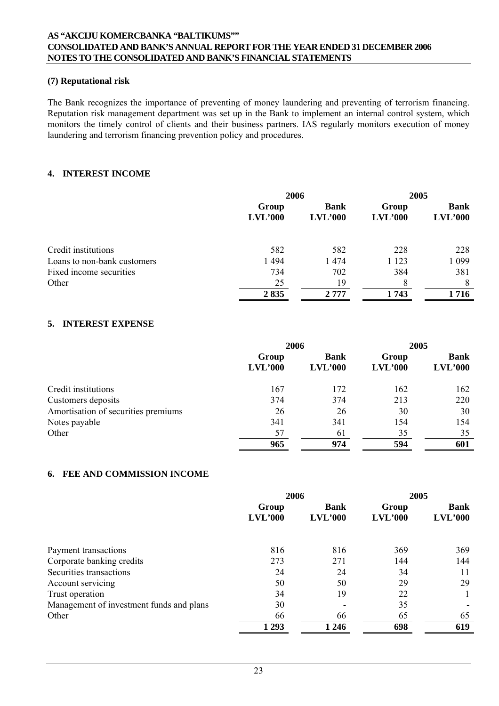#### **(7) Reputational risk**

The Bank recognizes the importance of preventing of money laundering and preventing of terrorism financing. Reputation risk management department was set up in the Bank to implement an internal control system, which monitors the timely control of clients and their business partners. IAS regularly monitors execution of money laundering and terrorism financing prevention policy and procedures.

# **4. INTEREST INCOME**

|                             |                  | 2006                   |                  | 2005                   |
|-----------------------------|------------------|------------------------|------------------|------------------------|
|                             | Group<br>LVL'000 | <b>Bank</b><br>LVL'000 | Group<br>LVL'000 | <b>Bank</b><br>LVL'000 |
| Credit institutions         | 582              | 582                    | 228              | 228                    |
| Loans to non-bank customers | 1494             | 1474                   | 1 1 2 3          | 1 0 9 9                |
| Fixed income securities     | 734              | 702                    | 384              | 381                    |
| Other                       | 25               | 19                     | 8                | 8                      |
|                             | 2835             | 2 7 7 7                | 1743             | 1716                   |

# **5. INTEREST EXPENSE**

|                                     | 2006             |                        | 2005             |                        |
|-------------------------------------|------------------|------------------------|------------------|------------------------|
|                                     | Group<br>LVL'000 | <b>Bank</b><br>LVL'000 | Group<br>LVL'000 | <b>Bank</b><br>LVL'000 |
| Credit institutions                 | 167              | 172                    | 162              | 162                    |
| Customers deposits                  | 374              | 374                    | 213              | 220                    |
| Amortisation of securities premiums | 26               | 26                     | 30               | 30                     |
| Notes payable                       | 341              | 341                    | 154              | 154                    |
| Other                               | 57               | 61                     | 35               | 35                     |
|                                     | 965              | 974                    | 594              | 601                    |

# **6. FEE AND COMMISSION INCOME**

|                                          | 2006             |                        | 2005             |                        |
|------------------------------------------|------------------|------------------------|------------------|------------------------|
|                                          | Group<br>LVL'000 | <b>Bank</b><br>LVL'000 | Group<br>LVL'000 | <b>Bank</b><br>LVL'000 |
| Payment transactions                     | 816              | 816                    | 369              | 369                    |
| Corporate banking credits                | 273              | 271                    | 144              | 144                    |
| Securities transactions                  | 24               | 24                     | 34               | 11                     |
| Account servicing                        | 50               | 50                     | 29               | 29                     |
| Trust operation                          | 34               | 19                     | 22               |                        |
| Management of investment funds and plans | 30               |                        | 35               |                        |
| Other                                    | 66               | 66                     | 65               | 65                     |
|                                          | 1 2 9 3          | 1 2 4 6                | 698              | 619                    |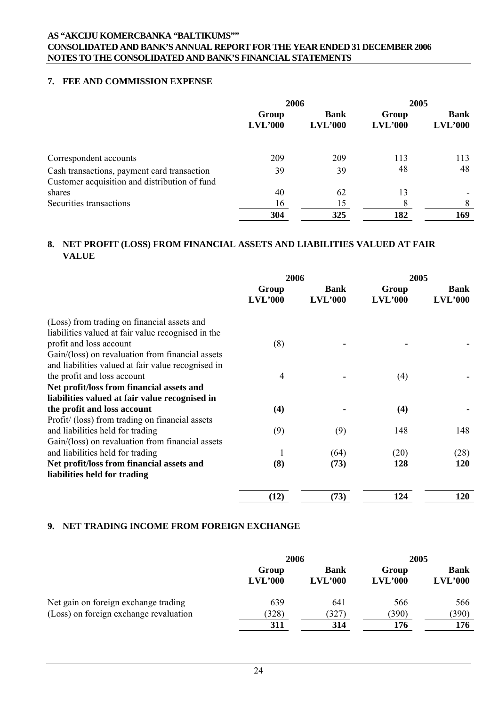# **7. FEE AND COMMISSION EXPENSE**

|                                                                                              | 2006             |                        | 2005             |                        |
|----------------------------------------------------------------------------------------------|------------------|------------------------|------------------|------------------------|
|                                                                                              | Group<br>LVL'000 | <b>Bank</b><br>LVL'000 | Group<br>LVL'000 | <b>Bank</b><br>LVL'000 |
| Correspondent accounts                                                                       | 209              | 209                    | 113              | 113                    |
| Cash transactions, payment card transaction<br>Customer acquisition and distribution of fund | 39               | 39                     | 48               | 48                     |
| shares                                                                                       | 40               | 62                     | 13               |                        |
| Securities transactions                                                                      | 16               | 15                     | 8                | 8                      |
|                                                                                              | 304              | 325                    | 182              | 169                    |

# **8. NET PROFIT (LOSS) FROM FINANCIAL ASSETS AND LIABILITIES VALUED AT FAIR VALUE**

|                                                    | 2006             |                        | 2005             |                 |
|----------------------------------------------------|------------------|------------------------|------------------|-----------------|
|                                                    | Group<br>LVL'000 | <b>Bank</b><br>LVL'000 | Group<br>LVL'000 | Bank<br>LVL'000 |
| (Loss) from trading on financial assets and        |                  |                        |                  |                 |
| liabilities valued at fair value recognised in the |                  |                        |                  |                 |
| profit and loss account                            | (8)              |                        |                  |                 |
| Gain/(loss) on revaluation from financial assets   |                  |                        |                  |                 |
| and liabilities valued at fair value recognised in |                  |                        |                  |                 |
| the profit and loss account                        | 4                |                        | (4)              |                 |
| Net profit/loss from financial assets and          |                  |                        |                  |                 |
| liabilities valued at fair value recognised in     |                  |                        |                  |                 |
| the profit and loss account                        | (4)              |                        | (4)              |                 |
| Profit/ (loss) from trading on financial assets    |                  |                        |                  |                 |
| and liabilities held for trading                   | (9)              | (9)                    | 148              | 148             |
| Gain/(loss) on revaluation from financial assets   |                  |                        |                  |                 |
| and liabilities held for trading                   |                  | (64)                   | (20)             | (28)            |
| Net profit/loss from financial assets and          | (8)              | (73)                   | 128              | <b>120</b>      |
| liabilities held for trading                       |                  |                        |                  |                 |
|                                                    | (12)             | (73)                   | 124              | 120             |

# **9. NET TRADING INCOME FROM FOREIGN EXCHANGE**

|                                        | 2006             |                        | 2005             |                        |
|----------------------------------------|------------------|------------------------|------------------|------------------------|
|                                        | Group<br>LVL'000 | <b>Bank</b><br>LVL'000 | Group<br>LVL'000 | <b>Bank</b><br>LVL'000 |
| Net gain on foreign exchange trading   | 639              | 641                    | 566              | 566                    |
| (Loss) on foreign exchange revaluation | (328)            | (327)                  | (390)            | (390)                  |
|                                        | 311              | 314                    | 176              | 176                    |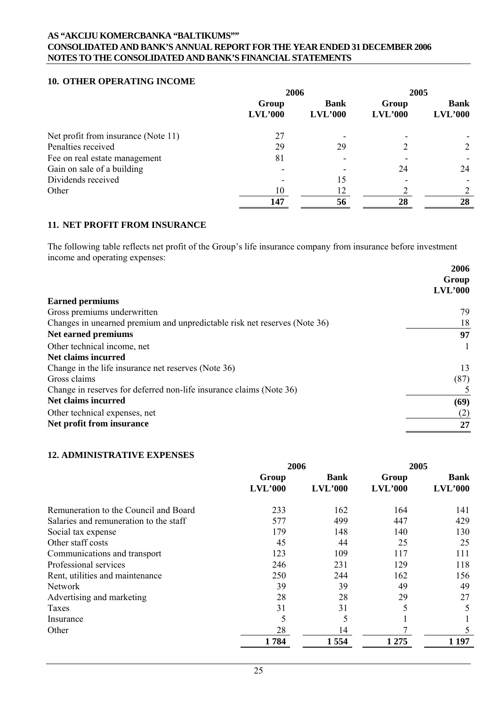# **10. OTHER OPERATING INCOME**

|                                     | 2006             |                        | 2005             |                        |
|-------------------------------------|------------------|------------------------|------------------|------------------------|
|                                     | Group<br>LVL'000 | <b>Bank</b><br>LVL'000 | Group<br>LVL'000 | <b>Bank</b><br>LVL'000 |
| Net profit from insurance (Note 11) | 27               |                        |                  |                        |
| Penalties received                  | 29               | 29                     |                  | 2                      |
| Fee on real estate management       | 81               |                        |                  |                        |
| Gain on sale of a building          |                  |                        | 24               | 24                     |
| Dividends received                  |                  | 15                     |                  |                        |
| Other                               | 10               | 12                     |                  |                        |
|                                     | 147              | 56                     | 28               | 28                     |

# **11. NET PROFIT FROM INSURANCE**

The following table reflects net profit of the Group's life insurance company from insurance before investment income and operating expenses:

|                                                                           | 2006    |
|---------------------------------------------------------------------------|---------|
|                                                                           | Group   |
|                                                                           | LVL'000 |
| <b>Earned permiums</b>                                                    |         |
| Gross premiums underwritten                                               | 79      |
| Changes in unearned premium and unpredictable risk net reserves (Note 36) | 18      |
| Net earned premiums                                                       | 97      |
| Other technical income, net                                               |         |
| Net claims incurred                                                       |         |
| Change in the life insurance net reserves (Note 36)                       | 13      |
| Gross claims                                                              | (87)    |
| Change in reserves for deferred non-life insurance claims (Note 36)       |         |
| Net claims incurred                                                       | (69)    |
| Other technical expenses, net                                             | (2)     |
| Net profit from insurance                                                 | 27      |
|                                                                           |         |

# **12. ADMINISTRATIVE EXPENSES**

|                                        | 2006             |                        | 2005             |                 |
|----------------------------------------|------------------|------------------------|------------------|-----------------|
|                                        | Group<br>LVL'000 | <b>Bank</b><br>LVL'000 | Group<br>LVL'000 | Bank<br>LVL'000 |
| Remuneration to the Council and Board  | 233              | 162                    | 164              | 141             |
| Salaries and remuneration to the staff | 577              | 499                    | 447              | 429             |
| Social tax expense                     | 179              | 148                    | 140              | 130             |
| Other staff costs                      | 45               | 44                     | 25               | 25              |
| Communications and transport           | 123              | 109                    | 117              | 111             |
| Professional services                  | 246              | 231                    | 129              | 118             |
| Rent, utilities and maintenance        | 250              | 244                    | 162              | 156             |
| <b>Network</b>                         | 39               | 39                     | 49               | 49              |
| Advertising and marketing              | 28               | 28                     | 29               | 27              |
| Taxes                                  | 31               | 31                     |                  | 5               |
| Insurance                              | 5                | 5                      |                  |                 |
| Other                                  | 28               | 14                     |                  | 5               |
|                                        | 1784             | 1 5 5 4                | 1 2 7 5          | 1 1 9 7         |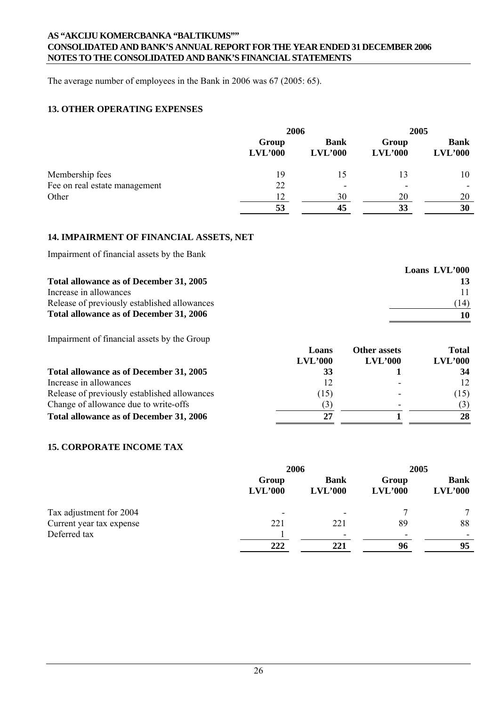The average number of employees in the Bank in 2006 was 67 (2005: 65).

# **13. OTHER OPERATING EXPENSES**

|                               | 2006             |                        | 2005             |                        |
|-------------------------------|------------------|------------------------|------------------|------------------------|
|                               | Group<br>LVL'000 | <b>Bank</b><br>LVL'000 | Group<br>LVL'000 | <b>Bank</b><br>LVL'000 |
| Membership fees               | 19               | 15                     |                  | 10                     |
| Fee on real estate management | 22               | ۰                      |                  | ۰                      |
| Other                         | 12               | 30                     | 20               | 20                     |
|                               | 53               | 45                     | 33               | 30                     |

# **14. IMPAIRMENT OF FINANCIAL ASSETS, NET**

Impairment of financial assets by the Bank

|                                              | Loans LVL'000 |
|----------------------------------------------|---------------|
| Total allowance as of December 31, 2005      |               |
| Increase in allowances                       |               |
| Release of previously established allowances | (14)          |
| Total allowance as of December 31, 2006      | 10            |

Impairment of financial assets by the Group

|                                              | Loans   | Other assets | <b>Total</b> |
|----------------------------------------------|---------|--------------|--------------|
|                                              | LVL'000 | LVL'000      | LVL'000      |
| Total allowance as of December 31, 2005      | 33      |              | 34           |
| Increase in allowances                       | 12      |              | 12.          |
| Release of previously established allowances | (15)    |              | (15)         |
| Change of allowance due to write-offs        |         |              |              |
| Total allowance as of December 31, 2006      | 27      |              | 28           |

# **15. CORPORATE INCOME TAX**

|                          | 2006             |                        | 2005             |                        |
|--------------------------|------------------|------------------------|------------------|------------------------|
|                          | Group<br>LVL'000 | <b>Bank</b><br>LVL'000 | Group<br>LVL'000 | <b>Bank</b><br>LVL'000 |
| Tax adjustment for 2004  | -                | -                      |                  |                        |
| Current year tax expense | 221              | 221                    | 89               | 88                     |
| Deferred tax             |                  | -                      |                  |                        |
|                          | 222              | 221                    | 96               | 95                     |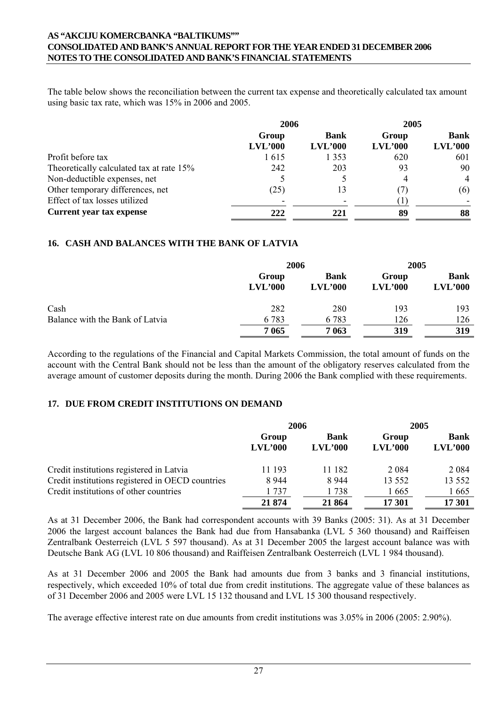The table below shows the reconciliation between the current tax expense and theoretically calculated tax amount using basic tax rate, which was 15% in 2006 and 2005.

|                                          | 2006             |                        | 2005             |                        |
|------------------------------------------|------------------|------------------------|------------------|------------------------|
|                                          | Group<br>LVL'000 | <b>Bank</b><br>LVL'000 | Group<br>LVL'000 | <b>Bank</b><br>LVL'000 |
| Profit before tax                        | 1615             | 1 3 5 3                | 620              | 601                    |
| Theoretically calculated tax at rate 15% | 242              | 203                    | 93               | 90                     |
| Non-deductible expenses, net             |                  |                        |                  | $\overline{4}$         |
| Other temporary differences, net         | (25)             | 13                     |                  | (6)                    |
| Effect of tax losses utilized            |                  |                        |                  |                        |
| Current year tax expense                 | 222              | 221                    | 89               | 88                     |

# **16. CASH AND BALANCES WITH THE BANK OF LATVIA**

|                                 | 2006             |                        | 2005             |                        |
|---------------------------------|------------------|------------------------|------------------|------------------------|
|                                 | Group<br>LVL'000 | <b>Bank</b><br>LVL'000 | Group<br>LVL'000 | <b>Bank</b><br>LVL'000 |
| Cash                            | 282              | 280                    | 193              | 193                    |
| Balance with the Bank of Latvia | 6783             | 6 7 8 3                | 126              | 126                    |
|                                 | 7 0 6 5          | 7 0 6 3                | 319              | 319                    |

According to the regulations of the Financial and Capital Markets Commission, the total amount of funds on the account with the Central Bank should not be less than the amount of the obligatory reserves calculated from the average amount of customer deposits during the month. During 2006 the Bank complied with these requirements.

# **17. DUE FROM CREDIT INSTITUTIONS ON DEMAND**

|                                                  | 2006             |                        | 2005             |                        |
|--------------------------------------------------|------------------|------------------------|------------------|------------------------|
|                                                  | Group<br>LVL'000 | <b>Bank</b><br>LVL'000 | Group<br>LVL'000 | <b>Bank</b><br>LVL'000 |
| Credit institutions registered in Latvia         | 11 193           | 11 182                 | 2 0 8 4          | 2 0 8 4                |
| Credit institutions registered in OECD countries | 8 9 4 4          | 8944                   | 13 5 5 2         | 13 5 5 2               |
| Credit institutions of other countries           | 1 737            | 1738                   | 1665             | 1 665                  |
|                                                  | 21 874           | 21 864                 | 17 301           | 17 301                 |

As at 31 December 2006, the Bank had correspondent accounts with 39 Banks (2005: 31). As at 31 December 2006 the largest account balances the Bank had due from Hansabanka (LVL 5 360 thousand) and Raiffeisen Zentralbank Oesterreich (LVL 5 597 thousand). As at 31 December 2005 the largest account balance was with Deutsche Bank AG (LVL 10 806 thousand) and Raiffeisen Zentralbank Oesterreich (LVL 1 984 thousand).

As at 31 December 2006 and 2005 the Bank had amounts due from 3 banks and 3 financial institutions, respectively, which exceeded 10% of total due from credit institutions. The aggregate value of these balances as of 31 December 2006 and 2005 were LVL 15 132 thousand and LVL 15 300 thousand respectively.

The average effective interest rate on due amounts from credit institutions was 3.05% in 2006 (2005: 2.90%).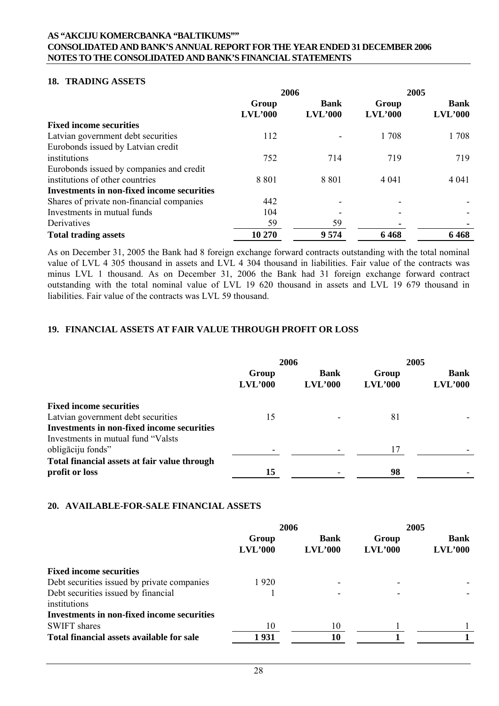# **18. TRADING ASSETS**

|                                                   | 2006             |                 | 2005             |                        |
|---------------------------------------------------|------------------|-----------------|------------------|------------------------|
|                                                   | Group<br>LVL'000 | Bank<br>LVL'000 | Group<br>LVL'000 | <b>Bank</b><br>LVL'000 |
| <b>Fixed income securities</b>                    |                  |                 |                  |                        |
| Latvian government debt securities                | 112              |                 | 1 708            | 1 708                  |
| Eurobonds issued by Latvian credit                |                  |                 |                  |                        |
| institutions                                      | 752              | 714             | 719              | 719                    |
| Eurobonds issued by companies and credit          |                  |                 |                  |                        |
| institutions of other countries                   | 8 8 0 1          | 8 8 0 1         | 4 0 4 1          | 4 0 4 1                |
| <b>Investments in non-fixed income securities</b> |                  |                 |                  |                        |
| Shares of private non-financial companies         | 442              |                 |                  |                        |
| Investments in mutual funds                       | 104              |                 |                  |                        |
| Derivatives                                       | 59               | 59              |                  |                        |
| <b>Total trading assets</b>                       | 10 270           | 9 5 7 4         | 6468             | 6468                   |

As on December 31, 2005 the Bank had 8 foreign exchange forward contracts outstanding with the total nominal value of LVL 4 305 thousand in assets and LVL 4 304 thousand in liabilities. Fair value of the contracts was minus LVL 1 thousand. As on December 31, 2006 the Bank had 31 foreign exchange forward contract outstanding with the total nominal value of LVL 19 620 thousand in assets and LVL 19 679 thousand in liabilities. Fair value of the contracts was LVL 59 thousand.

# **19. FINANCIAL ASSETS AT FAIR VALUE THROUGH PROFIT OR LOSS**

|                                                   | 2006             |                        | 2005             |                        |
|---------------------------------------------------|------------------|------------------------|------------------|------------------------|
|                                                   | Group<br>LVL'000 | <b>Bank</b><br>LVL'000 | Group<br>LVL'000 | <b>Bank</b><br>LVL'000 |
| <b>Fixed income securities</b>                    |                  |                        |                  |                        |
| Latvian government debt securities                | 15               |                        | 81               |                        |
| <b>Investments in non-fixed income securities</b> |                  |                        |                  |                        |
| Investments in mutual fund "Valsts"               |                  |                        |                  |                        |
| obligaciju fonds"                                 |                  |                        | 17               |                        |
| Total financial assets at fair value through      |                  |                        |                  |                        |
| profit or loss                                    | 15               |                        | 98               |                        |
|                                                   |                  |                        |                  |                        |

# **20. AVAILABLE-FOR-SALE FINANCIAL ASSETS**

|                                                     | 2006             |                        | 2005             |                        |
|-----------------------------------------------------|------------------|------------------------|------------------|------------------------|
|                                                     | Group<br>LVL'000 | <b>Bank</b><br>LVL'000 | Group<br>LVL'000 | <b>Bank</b><br>LVL'000 |
| <b>Fixed income securities</b>                      |                  |                        |                  |                        |
| Debt securities issued by private companies         | 1920             |                        |                  |                        |
| Debt securities issued by financial<br>institutions |                  |                        |                  |                        |
| <b>Investments in non-fixed income securities</b>   |                  |                        |                  |                        |
| <b>SWIFT</b> shares                                 | 10               | 10                     |                  |                        |
| Total financial assets available for sale           | 1931             | 10                     |                  |                        |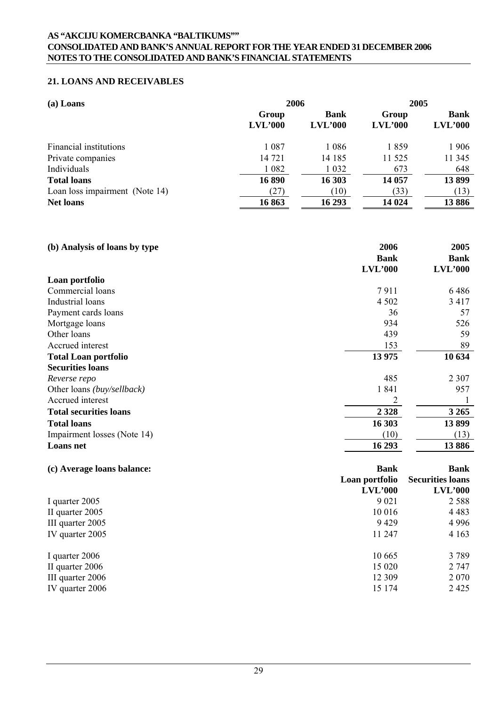# **21. LOANS AND RECEIVABLES**

| (a) Loans                      | 2006             |                        | 2005             |                        |
|--------------------------------|------------------|------------------------|------------------|------------------------|
|                                | Group<br>LVL'000 | <b>Bank</b><br>LVL'000 | Group<br>LVL'000 | <b>Bank</b><br>LVL'000 |
| Financial institutions         | 1 0 8 7          | 1 0 8 6                | 1859             | 1906                   |
| Private companies              | 14 721           | 14 185                 | 11 525           | 11 3 45                |
| Individuals                    | 1 0 8 2          | 1 0 3 2                | 673              | 648                    |
| <b>Total loans</b>             | 16890            | 16 303                 | 14 057           | 13899                  |
| Loan loss impairment (Note 14) | (27)             | (10)                   | (33)             | (13)                   |
| <b>Net loans</b>               | 16863            | 16 29 3                | 14 024           | 13886                  |

| (b) Analysis of loans by type | 2006<br><b>Bank</b><br><b>LVL'000</b> | 2005<br><b>Bank</b><br>LVL'000         |
|-------------------------------|---------------------------------------|----------------------------------------|
| Loan portfolio                |                                       |                                        |
| Commercial loans              | 7911                                  | 6486                                   |
| Industrial loans              | 4 5 0 2                               | 3 4 1 7                                |
| Payment cards loans           | 36                                    | 57                                     |
| Mortgage loans                | 934                                   | 526                                    |
| Other loans                   | 439                                   | 59                                     |
| Accrued interest              | 153                                   | 89                                     |
| <b>Total Loan portfolio</b>   | 13 975                                | 10 634                                 |
| <b>Securities loans</b>       |                                       |                                        |
| Reverse repo                  | 485                                   | 2 3 0 7                                |
| Other loans (buy/sellback)    | 1841                                  | 957                                    |
| Accrued interest              | 2                                     |                                        |
| <b>Total securities loans</b> | 2 3 2 8                               | 3 2 6 5                                |
| <b>Total loans</b>            | 16 303                                | 13899                                  |
| Impairment losses (Note 14)   | (10)                                  | (13)                                   |
| <b>Loans</b> net              | 16 29 3                               | 13886                                  |
| (c) Average loans balance:    | <b>Bank</b><br>Loan portfolio         | <b>Bank</b><br><b>Securities loans</b> |
|                               | LVL'000<br>9 0 2 1                    | LVL'000                                |
| I quarter 2005                |                                       | 2 5 8 8                                |
| II quarter 2005               | 10 016                                | 4 4 8 3                                |
| III quarter 2005              | 9 4 2 9                               | 4 9 9 6                                |
| IV quarter 2005               | 11 247                                | 4 1 6 3                                |
| I quarter 2006                | 10 665                                | 3789                                   |
| II quarter 2006               | 15 020                                | 2 7 4 7                                |
| III quarter 2006              | 12 309                                | 2 0 7 0                                |

IV quarter 2006 15 174 2 425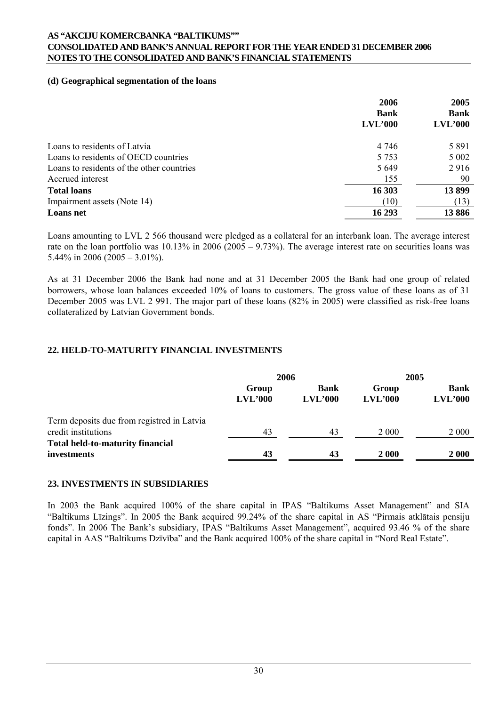#### **(d) Geographical segmentation of the loans**

|                                           | 2006        | 2005<br><b>Bank</b> |  |
|-------------------------------------------|-------------|---------------------|--|
|                                           | <b>Bank</b> |                     |  |
|                                           | LVL'000     | LVL'000             |  |
| Loans to residents of Latvia              | 4 74 6      | 5 8 9 1             |  |
| Loans to residents of OECD countries      | 5 7 5 3     | 5 0 0 2             |  |
| Loans to residents of the other countries | 5 6 4 9     | 2916                |  |
| Accrued interest                          | 155         | 90                  |  |
| <b>Total loans</b>                        | 16 303      | 13899               |  |
| Impairment assets (Note 14)               | (10)        | (13)                |  |
| <b>Loans</b> net                          | 16 293      | 13886               |  |

Loans amounting to LVL 2 566 thousand were pledged as a collateral for an interbank loan. The average interest rate on the loan portfolio was  $10.13\%$  in  $2006(2005 - 9.73\%)$ . The average interest rate on securities loans was 5.44% in 2006 (2005 – 3.01%).

As at 31 December 2006 the Bank had none and at 31 December 2005 the Bank had one group of related borrowers, whose loan balances exceeded 10% of loans to customers. The gross value of these loans as of 31 December 2005 was LVL 2 991. The major part of these loans (82% in 2005) were classified as risk-free loans collateralized by Latvian Government bonds.

# **22. HELD-TO-MATURITY FINANCIAL INVESTMENTS**

|                                                        | 2006             |                        | 2005             |                        |
|--------------------------------------------------------|------------------|------------------------|------------------|------------------------|
|                                                        | Group<br>LVL'000 | <b>Bank</b><br>LVL'000 | Group<br>LVL'000 | <b>Bank</b><br>LVL'000 |
| Term deposits due from registred in Latvia             |                  |                        |                  |                        |
| credit institutions                                    | 43               | 43                     | 2 0 0 0          | 2 0 0 0                |
| <b>Total held-to-maturity financial</b><br>investments | 43               | 43                     | <b>2000</b>      | <b>2000</b>            |

# **23. INVESTMENTS IN SUBSIDIARIES**

In 2003 the Bank acquired 100% of the share capital in IPAS "Baltikums Asset Management" and SIA "Baltikums Līzings". In 2005 the Bank acquired 99.24% of the share capital in AS "Pirmais atklātais pensiju fonds". In 2006 The Bank's subsidiary, IPAS "Baltikums Asset Management", acquired 93.46 % of the share capital in AAS "Baltikums Dzīvība" and the Bank acquired 100% of the share capital in "Nord Real Estate".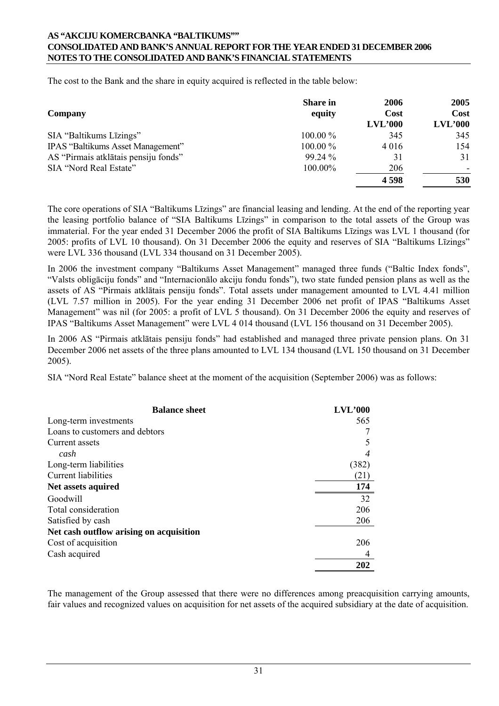The cost to the Bank and the share in equity acquired is reflected in the table below:

| Company                              | <b>Share in</b><br>equity | 2006<br>Cost<br>LVL'000 | 2005<br>Cost<br>LVL'000 |
|--------------------------------------|---------------------------|-------------------------|-------------------------|
| SIA "Baltikums Līzings"              | 100.00 %                  | 345                     | 345                     |
| IPAS "Baltikums Asset Management"    | 100.00 %                  | 4 0 1 6                 | 154                     |
| AS "Pirmais atklātais pensiju fonds" | 99.24 %                   | 31                      | 31                      |
| SIA "Nord Real Estate"               | 100.00%                   | 206                     |                         |
|                                      |                           | 4598                    | 530                     |

The core operations of SIA "Baltikums Līzings" are financial leasing and lending. At the end of the reporting year the leasing portfolio balance of "SIA Baltikums Līzings" in comparison to the total assets of the Group was immaterial. For the year ended 31 December 2006 the profit of SIA Baltikums Līzings was LVL 1 thousand (for 2005: profits of LVL 10 thousand). On 31 December 2006 the equity and reserves of SIA "Baltikums Līzings" were LVL 336 thousand (LVL 334 thousand on 31 December 2005).

In 2006 the investment company "Baltikums Asset Management" managed three funds ("Baltic Index fonds", "Valsts obligāciju fonds" and "Internacionālo akciju fondu fonds"), two state funded pension plans as well as the assets of AS "Pirmais atklātais pensiju fonds". Total assets under management amounted to LVL 4.41 million (LVL 7.57 million in 2005). For the year ending 31 December 2006 net profit of IPAS "Baltikums Asset Management" was nil (for 2005: a profit of LVL 5 thousand). On 31 December 2006 the equity and reserves of IPAS "Baltikums Asset Management" were LVL 4 014 thousand (LVL 156 thousand on 31 December 2005).

In 2006 AS "Pirmais atklātais pensiju fonds" had established and managed three private pension plans. On 31 December 2006 net assets of the three plans amounted to LVL 134 thousand (LVL 150 thousand on 31 December 2005).

SIA "Nord Real Estate" balance sheet at the moment of the acquisition (September 2006) was as follows:

| <b>Balance sheet</b>                    | LVL'000 |
|-----------------------------------------|---------|
| Long-term investments                   | 565     |
| Loans to customers and debtors          |         |
| Current assets                          | 5       |
| cash                                    | 4       |
| Long-term liabilities                   | (382)   |
| Current liabilities                     | (21)    |
| Net assets aquired                      | 174     |
| Goodwill                                | 32      |
| Total consideration                     | 206     |
| Satisfied by cash                       | 206     |
| Net cash outflow arising on acquisition |         |
| Cost of acquisition                     | 206     |
| Cash acquired                           | 4       |
|                                         | 202     |

The management of the Group assessed that there were no differences among preacquisition carrying amounts, fair values and recognized values on acquisition for net assets of the acquired subsidiary at the date of acquisition.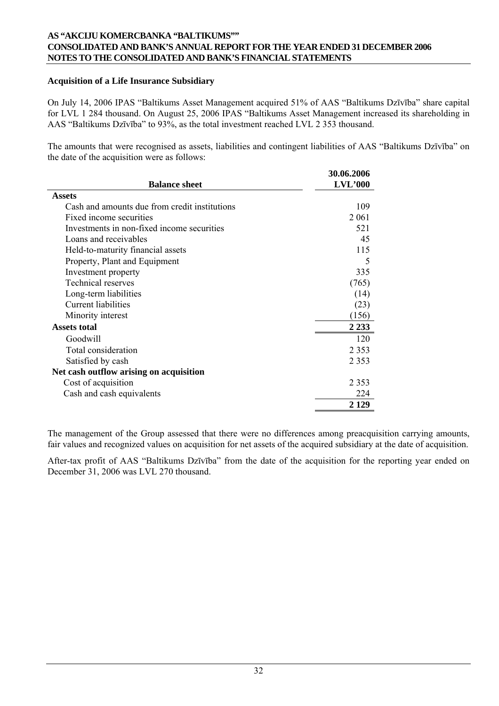# **Acquisition of a Life Insurance Subsidiary**

On July 14, 2006 IPAS "Baltikums Asset Management acquired 51% of AAS "Baltikums Dzīvība" share capital for LVL 1 284 thousand. On August 25, 2006 IPAS "Baltikums Asset Management increased its shareholding in AAS "Baltikums Dzīvība" to 93%, as the total investment reached LVL 2 353 thousand.

The amounts that were recognised as assets, liabilities and contingent liabilities of AAS "Baltikums Dzīvība" on the date of the acquisition were as follows:

| <b>Balance sheet</b>                          | 30.06.2006<br>LVL'000 |
|-----------------------------------------------|-----------------------|
| <b>Assets</b>                                 |                       |
| Cash and amounts due from credit institutions | 109                   |
| Fixed income securities                       | 2 0 6 1               |
| Investments in non-fixed income securities    | 521                   |
| Loans and receivables                         | 45                    |
| Held-to-maturity financial assets             | 115                   |
| Property, Plant and Equipment                 | 5                     |
| Investment property                           | 335                   |
| <b>Technical reserves</b>                     | (765)                 |
| Long-term liabilities                         | (14)                  |
| <b>Current liabilities</b>                    | (23)                  |
| Minority interest                             | (156)                 |
| <b>Assets total</b>                           | 2 2 3 3               |
| Goodwill                                      | 120                   |
| Total consideration                           | 2 3 5 3               |
| Satisfied by cash                             | 2 3 5 3               |
| Net cash outflow arising on acquisition       |                       |
| Cost of acquisition                           | 2 3 5 3               |
| Cash and cash equivalents                     | 224                   |
|                                               | 2 1 2 9               |

The management of the Group assessed that there were no differences among preacquisition carrying amounts, fair values and recognized values on acquisition for net assets of the acquired subsidiary at the date of acquisition.

After-tax profit of AAS "Baltikums Dzīvība" from the date of the acquisition for the reporting year ended on December 31, 2006 was LVL 270 thousand.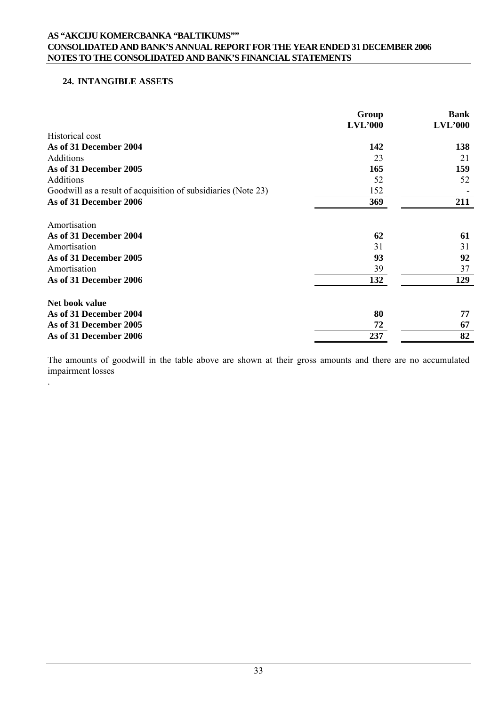# **24. INTANGIBLE ASSETS**

.

|                                                               | Group<br>LVL'000 | <b>Bank</b><br>LVL'000 |
|---------------------------------------------------------------|------------------|------------------------|
| Historical cost                                               |                  |                        |
| As of 31 December 2004                                        | 142              | 138                    |
| Additions                                                     | 23               | 21                     |
| As of 31 December 2005                                        | 165              | 159                    |
| Additions                                                     | 52               | 52                     |
| Goodwill as a result of acquisition of subsidiaries (Note 23) | 152              |                        |
| As of 31 December 2006                                        | 369              | 211                    |
| Amortisation                                                  |                  |                        |
| As of 31 December 2004                                        | 62               | 61                     |
| Amortisation                                                  | 31               | 31                     |
| As of 31 December 2005                                        | 93               | 92                     |
| Amortisation                                                  | 39               | 37                     |
| As of 31 December 2006                                        | 132              | 129                    |
| Net book value                                                |                  |                        |
| As of 31 December 2004                                        | 80               | 77                     |
| As of 31 December 2005                                        | 72               | 67                     |
| As of 31 December 2006                                        | 237              | 82                     |

The amounts of goodwill in the table above are shown at their gross amounts and there are no accumulated impairment losses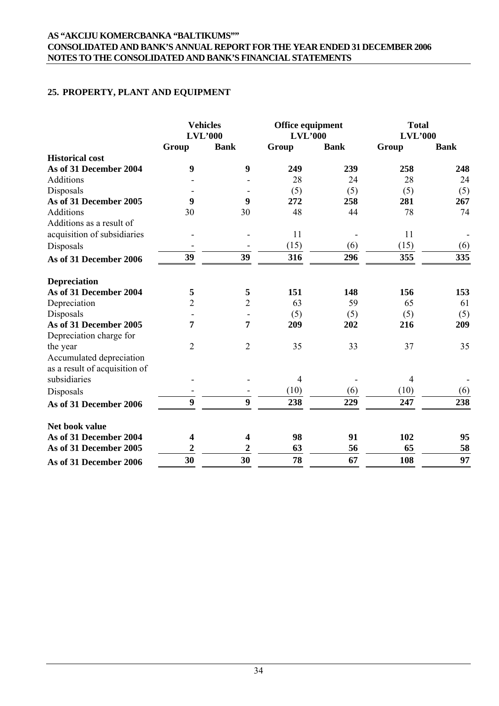# **25. PROPERTY, PLANT AND EQUIPMENT**

|                               |                  | <b>Vehicles</b><br><b>LVL'000</b> | Office equipment<br>LVL'000 |             | <b>Total</b><br><b>LVL'000</b> |             |
|-------------------------------|------------------|-----------------------------------|-----------------------------|-------------|--------------------------------|-------------|
|                               | Group            | <b>Bank</b>                       | Group                       | <b>Bank</b> | Group                          | <b>Bank</b> |
| <b>Historical cost</b>        |                  |                                   |                             |             |                                |             |
| As of 31 December 2004        | 9                | 9                                 | 249                         | 239         | 258                            | 248         |
| Additions                     |                  |                                   | 28                          | 24          | 28                             | 24          |
| Disposals                     |                  |                                   | (5)                         | (5)         | (5)                            | (5)         |
| As of 31 December 2005        | $\boldsymbol{9}$ | $\boldsymbol{9}$                  | 272                         | 258         | 281                            | 267         |
| <b>Additions</b>              | 30               | 30                                | 48                          | 44          | 78                             | 74          |
| Additions as a result of      |                  |                                   |                             |             |                                |             |
| acquisition of subsidiaries   |                  |                                   | 11                          |             | 11                             |             |
| Disposals                     |                  |                                   | (15)                        | (6)         | (15)                           | (6)         |
| As of 31 December 2006        | 39               | 39                                | 316                         | 296         | 355                            | 335         |
| <b>Depreciation</b>           |                  |                                   |                             |             |                                |             |
| As of 31 December 2004        | 5                | 5                                 | 151                         | 148         | 156                            | 153         |
| Depreciation                  | $\overline{2}$   | $\overline{2}$                    | 63                          | 59          | 65                             | 61          |
| Disposals                     |                  |                                   | (5)                         | (5)         | (5)                            | (5)         |
| As of 31 December 2005        | 7                | 7                                 | 209                         | 202         | 216                            | 209         |
| Depreciation charge for       |                  |                                   |                             |             |                                |             |
| the year                      | $\overline{2}$   | $\overline{2}$                    | 35                          | 33          | 37                             | 35          |
| Accumulated depreciation      |                  |                                   |                             |             |                                |             |
| as a result of acquisition of |                  |                                   |                             |             |                                |             |
| subsidiaries                  |                  |                                   | $\overline{4}$              |             | $\overline{4}$                 |             |
| Disposals                     |                  |                                   | (10)                        | (6)         | (10)                           | (6)         |
| As of 31 December 2006        | 9                | 9                                 | 238                         | 229         | 247                            | 238         |
| Net book value                |                  |                                   |                             |             |                                |             |
| As of 31 December 2004        | 4                | 4                                 | 98                          | 91          | 102                            | 95          |
| As of 31 December 2005        | $\overline{2}$   | $\overline{2}$                    | 63                          | 56          | 65                             | 58          |
| As of 31 December 2006        | 30               | 30                                | 78                          | 67          | 108                            | 97          |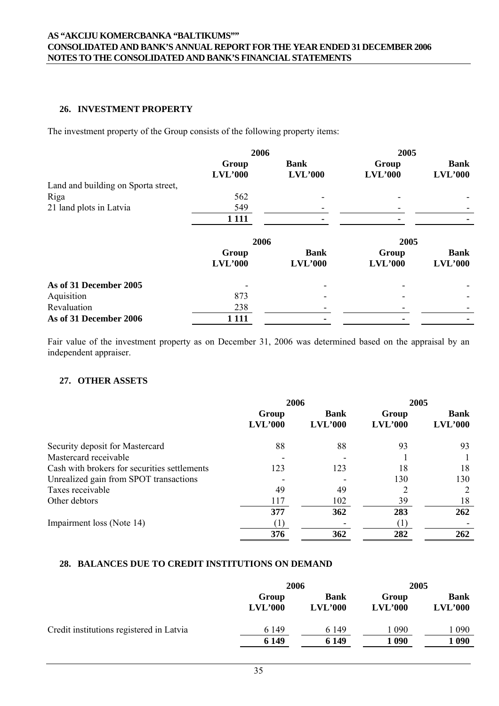# **26. INVESTMENT PROPERTY**

The investment property of the Group consists of the following property items:

|                                     | 2006             |                        | 2005             |                        |
|-------------------------------------|------------------|------------------------|------------------|------------------------|
|                                     | Group<br>LVL'000 | <b>Bank</b><br>LVL'000 | Group<br>LVL'000 | <b>Bank</b><br>LVL'000 |
| Land and building on Sporta street, |                  |                        |                  |                        |
| Riga                                | 562              |                        |                  |                        |
| 21 land plots in Latvia             | 549              |                        |                  |                        |
|                                     | 1 1 1 1          |                        |                  |                        |
|                                     | 2006             |                        | 2005             |                        |
|                                     | Group<br>LVL'000 | <b>Bank</b><br>LVL'000 | Group<br>LVL'000 | <b>Bank</b><br>LVL'000 |
| As of 31 December 2005              |                  |                        |                  |                        |
| Aquisition                          | 873              |                        |                  |                        |
| Revaluation                         | 238              |                        |                  |                        |
| As of 31 December 2006              | 1 1 1 1          |                        |                  |                        |

Fair value of the investment property as on December 31, 2006 was determined based on the appraisal by an independent appraiser.

# **27. OTHER ASSETS**

|                                              | 2006             |                        |                  | 2005                   |  |
|----------------------------------------------|------------------|------------------------|------------------|------------------------|--|
|                                              | Group<br>LVL'000 | <b>Bank</b><br>LVL'000 | Group<br>LVL'000 | <b>Bank</b><br>LVL'000 |  |
| Security deposit for Mastercard              | 88               | 88                     | 93               | 93                     |  |
| Mastercard receivable                        |                  |                        |                  |                        |  |
| Cash with brokers for securities settlements | 123              | 123                    | 18               | 18                     |  |
| Unrealized gain from SPOT transactions       |                  |                        | 130              | 130                    |  |
| Taxes receivable                             | 49               | 49                     |                  | 2                      |  |
| Other debtors                                | 117              | 102                    | 39               | 18                     |  |
|                                              | 377              | 362                    | 283              | 262                    |  |
| Impairment loss (Note 14)                    | (1)              |                        |                  |                        |  |
|                                              | 376              | 362                    | 282              | 262                    |  |

# **28. BALANCES DUE TO CREDIT INSTITUTIONS ON DEMAND**

|                                          | 2006             |                        | 2005             |                 |
|------------------------------------------|------------------|------------------------|------------------|-----------------|
|                                          | Group<br>LVL'000 | <b>Bank</b><br>LVL'000 | Group<br>LVL'000 | Bank<br>LVL'000 |
| Credit institutions registered in Latvia | 6 1 4 9          | 6 1 4 9                | 090              | .090            |
|                                          | 6 1 4 9          | 6 1 4 9                | 1 090            | 1 090           |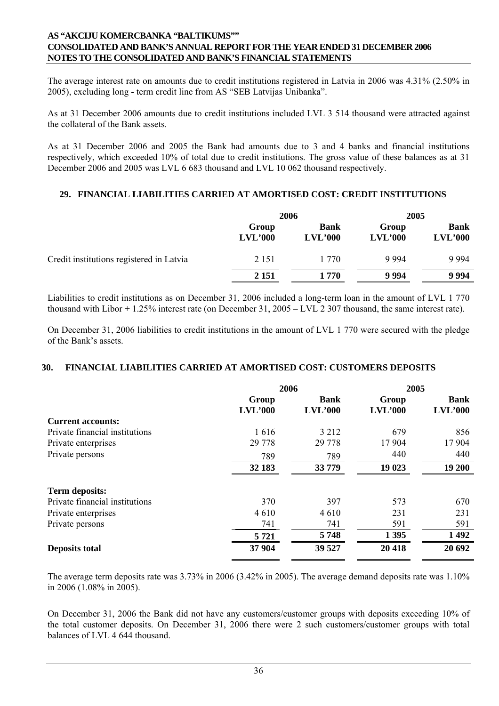The average interest rate on amounts due to credit institutions registered in Latvia in 2006 was 4.31% (2.50% in 2005), excluding long - term credit line from AS "SEB Latvijas Unibanka".

As at 31 December 2006 amounts due to credit institutions included LVL 3 514 thousand were attracted against the collateral of the Bank assets.

As at 31 December 2006 and 2005 the Bank had amounts due to 3 and 4 banks and financial institutions respectively, which exceeded 10% of total due to credit institutions. The gross value of these balances as at 31 December 2006 and 2005 was LVL 6 683 thousand and LVL 10 062 thousand respectively.

#### **29. FINANCIAL LIABILITIES CARRIED AT AMORTISED COST: CREDIT INSTITUTIONS**

|                                          | 2006             |                        | 2005             |                        |
|------------------------------------------|------------------|------------------------|------------------|------------------------|
|                                          | Group<br>LVL'000 | <b>Bank</b><br>LVL'000 | Group<br>LVL'000 | <b>Bank</b><br>LVL'000 |
| Credit institutions registered in Latvia | 2 1 5 1          | 1 770                  | 9994             | 9 9 9 4                |
|                                          | 2 1 5 1          | 1770                   | 9994             | 9994                   |

Liabilities to credit institutions as on December 31, 2006 included a long-term loan in the amount of LVL 1 770 thousand with Libor + 1.25% interest rate (on December 31, 2005 – LVL 2 307 thousand, the same interest rate).

On December 31, 2006 liabilities to credit institutions in the amount of LVL 1 770 were secured with the pledge of the Bank's assets.

# **30. FINANCIAL LIABILITIES CARRIED AT AMORTISED COST: CUSTOMERS DEPOSITS**

|                                | 2006             |                        | 2005             |                        |
|--------------------------------|------------------|------------------------|------------------|------------------------|
|                                | Group<br>LVL'000 | <b>Bank</b><br>LVL'000 | Group<br>LVL'000 | <b>Bank</b><br>LVL'000 |
| <b>Current accounts:</b>       |                  |                        |                  |                        |
| Private financial institutions | 1616             | 3 2 1 2                | 679              | 856                    |
| Private enterprises            | 29 7 78          | 29 7 78                | 17 904           | 17 904                 |
| Private persons                | 789              | 789                    | 440              | 440                    |
|                                | 32 183           | 33 779                 | 19 023           | 19 200                 |
| <b>Term deposits:</b>          |                  |                        |                  |                        |
| Private financial institutions | 370              | 397                    | 573              | 670                    |
| Private enterprises            | 4610             | 4610                   | 231              | 231                    |
| Private persons                | 741              | 741                    | 591              | 591                    |
|                                | 5721             | 5748                   | 1 3 9 5          | 1492                   |
| <b>Deposits total</b>          | 37 904           | 39 527                 | 20 418           | 20 692                 |

The average term deposits rate was 3.73% in 2006 (3.42% in 2005). The average demand deposits rate was 1.10% in 2006 (1.08% in 2005).

On December 31, 2006 the Bank did not have any customers/customer groups with deposits exceeding 10% of the total customer deposits. On December 31, 2006 there were 2 such customers/customer groups with total balances of LVL 4 644 thousand.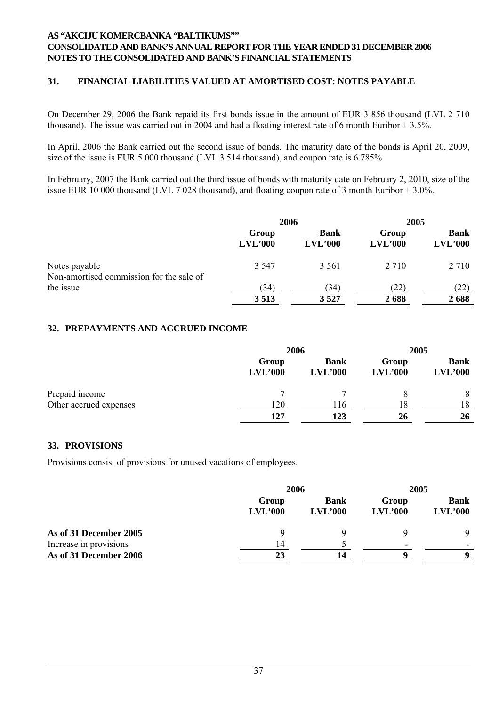# **31. FINANCIAL LIABILITIES VALUED AT AMORTISED COST: NOTES PAYABLE**

On December 29, 2006 the Bank repaid its first bonds issue in the amount of EUR 3 856 thousand (LVL 2 710 thousand). The issue was carried out in 2004 and had a floating interest rate of 6 month Euribor + 3.5%.

In April, 2006 the Bank carried out the second issue of bonds. The maturity date of the bonds is April 20, 2009, size of the issue is EUR 5 000 thousand (LVL 3 514 thousand), and coupon rate is 6.785%.

In February, 2007 the Bank carried out the third issue of bonds with maturity date on February 2, 2010, size of the issue EUR 10 000 thousand (LVL 7 028 thousand), and floating coupon rate of 3 month Euribor  $+ 3.0\%$ .

|                                                           | 2006             |                        | 2005             |                        |
|-----------------------------------------------------------|------------------|------------------------|------------------|------------------------|
|                                                           | Group<br>LVL'000 | <b>Bank</b><br>LVL'000 | Group<br>LVL'000 | <b>Bank</b><br>LVL'000 |
| Notes payable<br>Non-amortised commission for the sale of | 3 5 4 7          | 3 5 6 1                | 2 7 1 0          | 2 7 1 0                |
| the issue                                                 | (34)             | (34)                   | (22)             | (22)                   |
|                                                           | 3513             | 3 5 27                 | 2688             | 2688                   |

# **32. PREPAYMENTS AND ACCRUED INCOME**

|                        |                  | 2006                   |                  | 2005                   |  |
|------------------------|------------------|------------------------|------------------|------------------------|--|
|                        | Group<br>LVL'000 | <b>Bank</b><br>LVL'000 | Group<br>LVL'000 | <b>Bank</b><br>LVL'000 |  |
| Prepaid income         |                  |                        |                  | 8                      |  |
| Other accrued expenses | 120              | 116                    | 18               | 18                     |  |
|                        | 127              | 123                    | 26               | 26                     |  |

#### **33. PROVISIONS**

Provisions consist of provisions for unused vacations of employees.

|                        | 2006             |                        | 2005             |                        |
|------------------------|------------------|------------------------|------------------|------------------------|
|                        | Group<br>LVL'000 | <b>Bank</b><br>LVL'000 | Group<br>LVL'000 | <b>Bank</b><br>LVL'000 |
| As of 31 December 2005 |                  | Q                      |                  | Q                      |
| Increase in provisions | 14               |                        | -                |                        |
| As of 31 December 2006 | 23               | 14                     |                  | Q                      |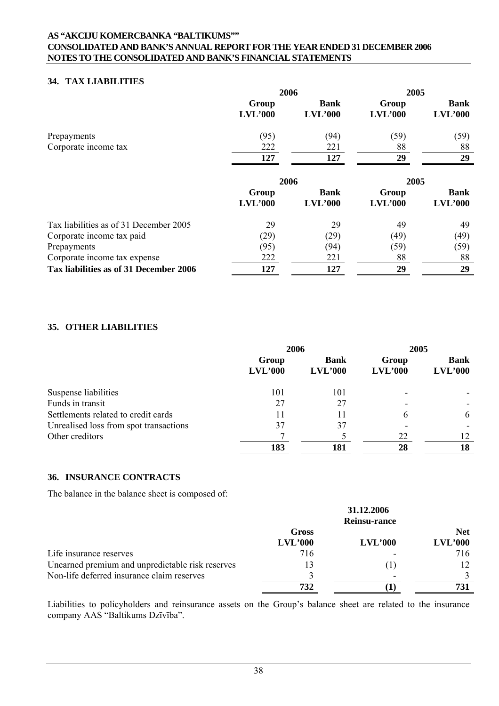# **34. TAX LIABILITIES**

|                                        | 2006             |                        |                  | 2005                   |  |
|----------------------------------------|------------------|------------------------|------------------|------------------------|--|
|                                        | Group            | <b>Bank</b>            | Group            | <b>Bank</b>            |  |
|                                        | LVL'000          | LVL'000                | LVL'000          | LVL'000                |  |
| Prepayments                            | (95)             | (94)                   | (59)             | (59)                   |  |
| Corporate income tax                   | 222              | 221                    | 88               | 88                     |  |
|                                        | 127              | 127                    | 29               | 29                     |  |
|                                        | 2006             |                        | 2005             |                        |  |
|                                        | Group<br>LVL'000 | <b>Bank</b><br>LVL'000 | Group<br>LVL'000 | <b>Bank</b><br>LVL'000 |  |
| Tax liabilities as of 31 December 2005 | 29               | 29                     | 49               | 49                     |  |
| Corporate income tax paid              | (29)             | (29)                   | (49)             | (49)                   |  |
| Prepayments                            | (95)             | (94)                   | (59)             | (59)                   |  |
| Corporate income tax expense           | 222              | 221                    | 88               | 88                     |  |
| Tax liabilities as of 31 December 2006 | 127              | 127                    | 29               | 29                     |  |

# **35. OTHER LIABILITIES**

|                                        | 2006             |                        | 2005             |                        |
|----------------------------------------|------------------|------------------------|------------------|------------------------|
|                                        | Group<br>LVL'000 | <b>Bank</b><br>LVL'000 | Group<br>LVL'000 | <b>Bank</b><br>LVL'000 |
| Suspense liabilities                   | 101              | 101                    |                  |                        |
| Funds in transit                       | 27               | 27                     |                  |                        |
| Settlements related to credit cards    |                  |                        | h                | 6                      |
| Unrealised loss from spot transactions | 37               | 37                     |                  |                        |
| Other creditors                        |                  |                        | 22               | 12                     |
|                                        | 183              | 181                    | 28               | 18                     |

# **36. INSURANCE CONTRACTS**

The balance in the balance sheet is composed of:

|                                                  |                  | 31.12.2006<br><b>Reinsu-rance</b> |                       |
|--------------------------------------------------|------------------|-----------------------------------|-----------------------|
|                                                  | Gross<br>LVL'000 | LVL'000                           | <b>Net</b><br>LVL'000 |
| Life insurance reserves                          | 716              |                                   | 716                   |
| Unearned premium and unpredictable risk reserves | 13               |                                   | 12.                   |
| Non-life deferred insurance claim reserves       |                  |                                   |                       |
|                                                  | 732              |                                   | 731                   |

Liabilities to policyholders and reinsurance assets on the Group's balance sheet are related to the insurance company AAS "Baltikums Dzīvība".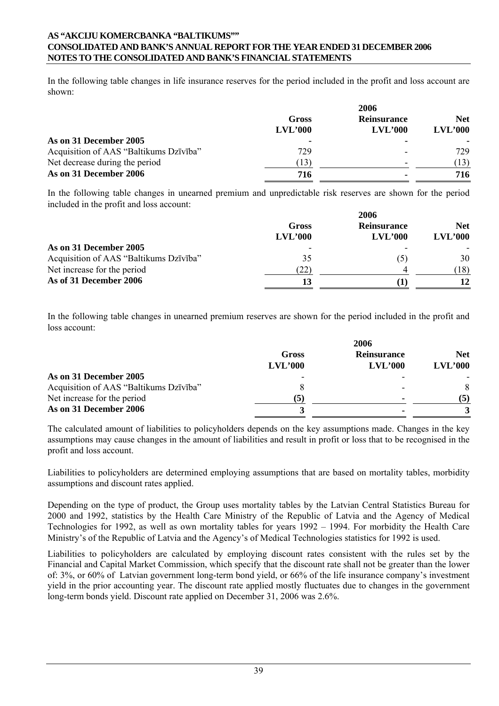In the following table changes in life insurance reserves for the period included in the profit and loss account are shown:

|                                        | 2006             |                               |                       |
|----------------------------------------|------------------|-------------------------------|-----------------------|
|                                        | Gross<br>LVL'000 | <b>Reinsurance</b><br>LVL'000 | <b>Net</b><br>LVL'000 |
| As on 31 December 2005                 | ٠                |                               |                       |
| Acquisition of AAS "Baltikums Dzīvība" | 729              |                               | 729                   |
| Net decrease during the period         | 13               |                               | (13)                  |
| As on 31 December 2006                 | 716              |                               | 716                   |

In the following table changes in unearned premium and unpredictable risk reserves are shown for the period included in the profit and loss account:

|                                        | 2006             |                               |                       |
|----------------------------------------|------------------|-------------------------------|-----------------------|
|                                        | Gross<br>LVL'000 | <b>Reinsurance</b><br>LVL'000 | <b>Net</b><br>LVL'000 |
| As on 31 December 2005                 | ۰                |                               |                       |
| Acquisition of AAS "Baltikums Dzīvība" | 35               | (5)                           | 30                    |
| Net increase for the period            | $22^{\circ}$     |                               | 18)                   |
| As of 31 December 2006                 |                  |                               | 12                    |

In the following table changes in unearned premium reserves are shown for the period included in the profit and loss account:

|                                        | 2006             |                        |                       |
|----------------------------------------|------------------|------------------------|-----------------------|
|                                        | Gross<br>LVL'000 | Reinsurance<br>LVL'000 | <b>Net</b><br>LVL'000 |
| As on 31 December 2005                 |                  |                        |                       |
| Acquisition of AAS "Baltikums Dzīvība" |                  |                        | 8                     |
| Net increase for the period            | (5)              |                        | (5)                   |
| As on 31 December 2006                 |                  | ٠                      |                       |

The calculated amount of liabilities to policyholders depends on the key assumptions made. Changes in the key assumptions may cause changes in the amount of liabilities and result in profit or loss that to be recognised in the profit and loss account.

Liabilities to policyholders are determined employing assumptions that are based on mortality tables, morbidity assumptions and discount rates applied.

Depending on the type of product, the Group uses mortality tables by the Latvian Central Statistics Bureau for 2000 and 1992, statistics by the Health Care Ministry of the Republic of Latvia and the Agency of Medical Technologies for 1992, as well as own mortality tables for years 1992 – 1994. For morbidity the Health Care Ministry's of the Republic of Latvia and the Agency's of Medical Technologies statistics for 1992 is used.

Liabilities to policyholders are calculated by employing discount rates consistent with the rules set by the Financial and Capital Market Commission, which specify that the discount rate shall not be greater than the lower of: 3%, or 60% of Latvian government long-term bond yield, or 66% of the life insurance company's investment yield in the prior accounting year. The discount rate applied mostly fluctuates due to changes in the government long-term bonds yield. Discount rate applied on December 31, 2006 was 2.6%.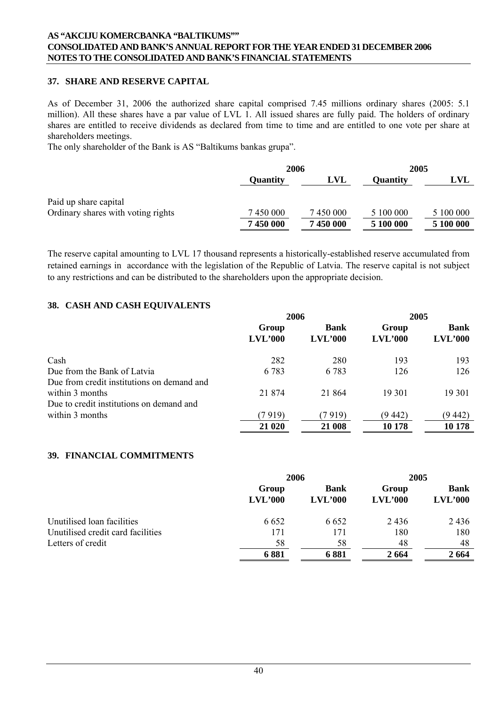# **37. SHARE AND RESERVE CAPITAL**

As of December 31, 2006 the authorized share capital comprised 7.45 millions ordinary shares (2005: 5.1 million). All these shares have a par value of LVL 1. All issued shares are fully paid. The holders of ordinary shares are entitled to receive dividends as declared from time to time and are entitled to one vote per share at shareholders meetings.

The only shareholder of the Bank is AS "Baltikums bankas grupa".

|                                    |           | 2006            |           | 2005       |  |
|------------------------------------|-----------|-----------------|-----------|------------|--|
|                                    | Quantity  | LVL<br>Ouantity |           | <b>LVL</b> |  |
| Paid up share capital              |           |                 |           |            |  |
| Ordinary shares with voting rights | 7 450 000 | 7 450 000       | 5 100 000 | 5 100 000  |  |
|                                    | 7 450 000 | 7 450 000       | 5 100 000 | 5 100 000  |  |

The reserve capital amounting to LVL 17 thousand represents a historically-established reserve accumulated from retained earnings in accordance with the legislation of the Republic of Latvia. The reserve capital is not subject to any restrictions and can be distributed to the shareholders upon the appropriate decision.

# **38. CASH AND CASH EQUIVALENTS**

|                                            | 2006    |             | 2005    |             |
|--------------------------------------------|---------|-------------|---------|-------------|
|                                            | Group   | <b>Bank</b> |         | <b>Bank</b> |
|                                            | LVL'000 | LVL'000     | LVL'000 | LVL'000     |
| Cash                                       | 282     | 280         | 193     | 193         |
| Due from the Bank of Latvia                | 6 7 8 3 | 6783        | 126     | 126         |
| Due from credit institutions on demand and |         |             |         |             |
| within 3 months                            | 21 874  | 21 864      | 19 301  | 19 301      |
| Due to credit institutions on demand and   |         |             |         |             |
| within 3 months                            | (7 919) | (7 919)     | (9442)  | (9 442)     |
|                                            | 21 020  | 21 008      | 10 178  | 10 178      |

# **39. FINANCIAL COMMITMENTS**

|                                   | 2006             |                        | 2005             |                        |  |
|-----------------------------------|------------------|------------------------|------------------|------------------------|--|
|                                   | Group<br>LVL'000 | <b>Bank</b><br>LVL'000 | Group<br>LVL'000 | <b>Bank</b><br>LVL'000 |  |
| Unutilised loan facilities        | 6 6 5 2          | 6 6 5 2                | 2436             | 2436                   |  |
| Unutilised credit card facilities | 171              | 171                    | 180              | 180                    |  |
| Letters of credit                 | 58               | 58                     | 48               | 48                     |  |
|                                   | 6881             | 6881                   | 2 6 6 4          | 2 6 6 4                |  |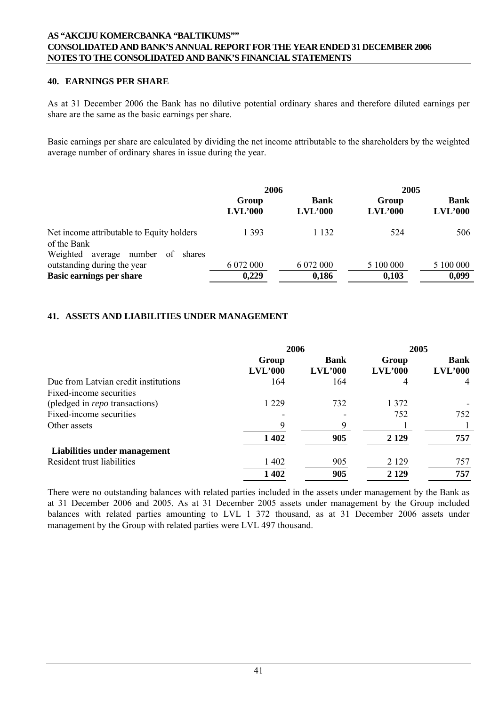# **40. EARNINGS PER SHARE**

As at 31 December 2006 the Bank has no dilutive potential ordinary shares and therefore diluted earnings per share are the same as the basic earnings per share.

Basic earnings per share are calculated by dividing the net income attributable to the shareholders by the weighted average number of ordinary shares in issue during the year.

|                    |                        | 2005               |                        |  |
|--------------------|------------------------|--------------------|------------------------|--|
| Group<br>LVL'000   | <b>Bank</b><br>LVL'000 | Group<br>LVL'000   | <b>Bank</b><br>LVL'000 |  |
| 1 393              | 1 1 3 2                | 524                | 506                    |  |
| 6 072 000<br>0,229 | 6 072 000<br>0,186     | 5 100 000<br>0,103 | 5 100 000<br>0,099     |  |
|                    |                        | 2006               |                        |  |

# **41. ASSETS AND LIABILITIES UNDER MANAGEMENT**

|                                                                 | 2006             |                        | 2005             |                        |
|-----------------------------------------------------------------|------------------|------------------------|------------------|------------------------|
|                                                                 | Group<br>LVL'000 | <b>Bank</b><br>LVL'000 | Group<br>LVL'000 | <b>Bank</b><br>LVL'000 |
| Due from Latvian credit institutions<br>Fixed-income securities | 164              | 164                    | 4                | 4                      |
| (pledged in <i>repo</i> transactions)                           | 1 2 2 9          | 732                    | 1 3 7 2          |                        |
| Fixed-income securities                                         |                  |                        | 752              | 752                    |
| Other assets                                                    |                  | 9                      |                  |                        |
|                                                                 | 1402             | 905                    | 2 1 2 9          | 757                    |
| Liabilities under management                                    |                  |                        |                  |                        |
| Resident trust liabilities                                      | 1 4 0 2          | 905                    | 2 1 2 9          | 757                    |
|                                                                 | 1402             | 905                    | 2 1 2 9          | 757                    |

There were no outstanding balances with related parties included in the assets under management by the Bank as at 31 December 2006 and 2005. As at 31 December 2005 assets under management by the Group included balances with related parties amounting to LVL 1 372 thousand, as at 31 December 2006 assets under management by the Group with related parties were LVL 497 thousand.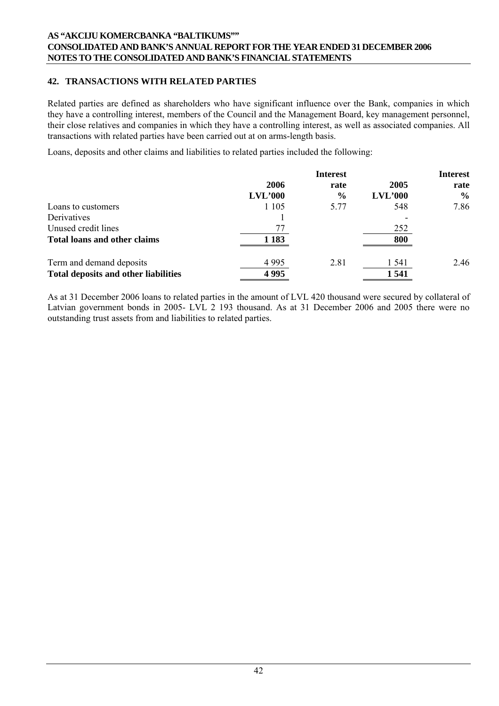# **42. TRANSACTIONS WITH RELATED PARTIES**

Related parties are defined as shareholders who have significant influence over the Bank, companies in which they have a controlling interest, members of the Council and the Management Board, key management personnel, their close relatives and companies in which they have a controlling interest, as well as associated companies. All transactions with related parties have been carried out at on arms-length basis.

Loans, deposits and other claims and liabilities to related parties included the following:

|                                             |         | <b>Interest</b> |         | <b>Interest</b> |
|---------------------------------------------|---------|-----------------|---------|-----------------|
|                                             | 2006    | rate            | 2005    | rate            |
|                                             | LVL'000 | $\frac{6}{6}$   | LVL'000 | $\frac{6}{6}$   |
| Loans to customers                          | 1 1 0 5 | 5.77            | 548     | 7.86            |
| Derivatives                                 |         |                 |         |                 |
| Unused credit lines                         |         |                 | 252     |                 |
| <b>Total loans and other claims</b>         | 1 1 8 3 |                 | 800     |                 |
| Term and demand deposits                    | 4 9 9 5 | 2.81            | 1 541   | 2.46            |
| <b>Total deposits and other liabilities</b> | 4995    |                 | 1541    |                 |

As at 31 December 2006 loans to related parties in the amount of LVL 420 thousand were secured by collateral of Latvian government bonds in 2005- LVL 2 193 thousand. As at 31 December 2006 and 2005 there were no outstanding trust assets from and liabilities to related parties.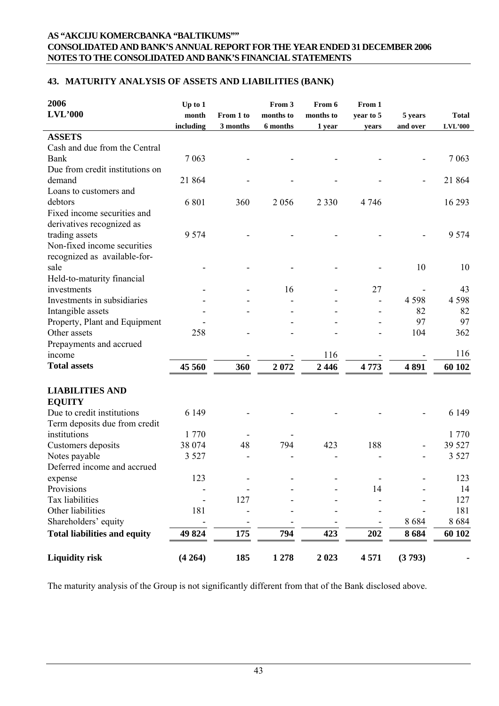# **43. MATURITY ANALYSIS OF ASSETS AND LIABILITIES (BANK)**

| 2006                                        | Up to 1   |           | From 3    | From 6    | From 1    |                          |              |
|---------------------------------------------|-----------|-----------|-----------|-----------|-----------|--------------------------|--------------|
| <b>LVL'000</b>                              | month     | From 1 to | months to | months to | year to 5 | 5 years                  | <b>Total</b> |
|                                             | including | 3 months  | 6 months  | 1 year    | years     | and over                 | LVL'000      |
| <b>ASSETS</b>                               |           |           |           |           |           |                          |              |
| Cash and due from the Central               |           |           |           |           |           |                          |              |
| Bank                                        | 7 0 63    |           |           |           |           |                          | 7 0 6 3      |
| Due from credit institutions on             |           |           |           |           |           |                          |              |
| demand                                      | 21 864    |           |           |           |           | $\overline{\phantom{a}}$ | 21 864       |
| Loans to customers and                      |           |           |           |           |           |                          |              |
| debtors                                     | 6 801     | 360       | 2056      | 2 3 3 0   | 4 7 4 6   |                          | 16 29 3      |
| Fixed income securities and                 |           |           |           |           |           |                          |              |
| derivatives recognized as                   |           |           |           |           |           |                          |              |
| trading assets                              | 9 5 7 4   |           |           |           |           |                          | 9 5 7 4      |
| Non-fixed income securities                 |           |           |           |           |           |                          |              |
| recognized as available-for-                |           |           |           |           |           |                          |              |
| sale                                        |           |           |           |           |           | 10                       | 10           |
| Held-to-maturity financial                  |           |           |           |           |           |                          |              |
| investments                                 |           |           | 16        |           | 27        |                          | 43           |
| Investments in subsidiaries                 |           |           |           |           |           | 4 5 9 8                  | 4598         |
| Intangible assets                           |           |           |           |           |           | 82                       | 82           |
| Property, Plant and Equipment               |           |           |           |           |           | 97                       | 97           |
| Other assets                                | 258       |           |           |           |           | 104                      | 362          |
| Prepayments and accrued                     |           |           |           |           |           |                          |              |
| income                                      |           |           |           | 116       |           |                          | 116          |
| <b>Total assets</b>                         | 45 560    | 360       | 2072      | 2446      | 4773      | 4891                     | 60 102       |
|                                             |           |           |           |           |           |                          |              |
| <b>LIABILITIES AND</b>                      |           |           |           |           |           |                          |              |
|                                             |           |           |           |           |           |                          |              |
| <b>EQUITY</b><br>Due to credit institutions | 6 1 4 9   |           |           |           |           |                          | 6 1 4 9      |
|                                             |           |           |           |           |           |                          |              |
| Term deposits due from credit               |           |           |           |           |           |                          |              |
| institutions                                | 1 770     |           |           |           |           |                          | 1 770        |
| Customers deposits                          | 38 074    | 48        | 794       | 423       | 188       |                          | 39 5 27      |
| Notes payable                               | 3 5 2 7   |           |           |           |           |                          | 3 5 2 7      |
| Deferred income and accrued                 |           |           |           |           |           |                          |              |
| expense                                     | 123       |           |           |           |           |                          | 123          |
| Provisions                                  |           |           |           |           | 14        |                          | 14           |
| Tax liabilities                             |           | 127       |           |           |           |                          | 127          |
| Other liabilities                           | 181       |           |           |           |           |                          | 181          |
| Shareholders' equity                        |           |           |           |           |           | 8684                     | 8684         |
| <b>Total liabilities and equity</b>         | 49 824    | 175       | 794       | 423       | 202       | 8684                     | 60 102       |
| <b>Liquidity risk</b>                       | (4264)    | 185       | 1 278     | 2023      | 4571      | (3793)                   |              |

The maturity analysis of the Group is not significantly different from that of the Bank disclosed above.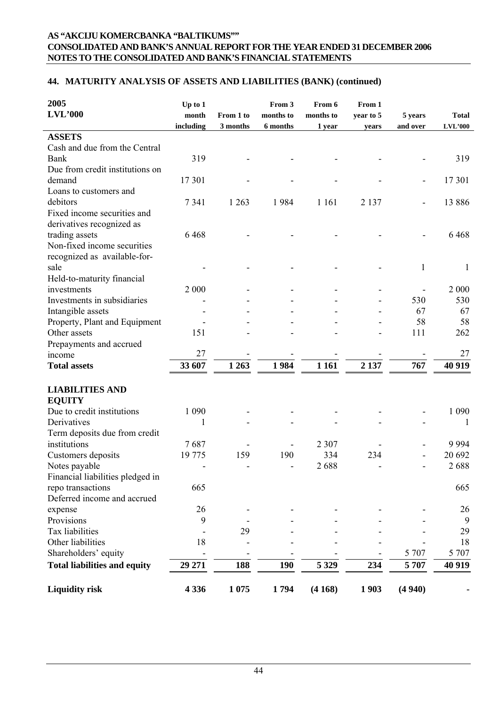# **44. MATURITY ANALYSIS OF ASSETS AND LIABILITIES (BANK) (continued)**

| 2005<br>LVL'000                               | Up to 1<br>month | From 1 to | From 3<br>months to | From 6<br>months to | From 1<br>year to 5 | 5 years                  | <b>Total</b>      |
|-----------------------------------------------|------------------|-----------|---------------------|---------------------|---------------------|--------------------------|-------------------|
|                                               | including        | 3 months  | 6 months            | 1 year              | years               | and over                 | <b>LVL'000</b>    |
| <b>ASSETS</b>                                 |                  |           |                     |                     |                     |                          |                   |
| Cash and due from the Central                 |                  |           |                     |                     |                     |                          |                   |
| Bank                                          | 319              |           |                     |                     |                     |                          | 319               |
| Due from credit institutions on               |                  |           |                     |                     |                     |                          |                   |
| demand                                        | 17 301           |           |                     |                     |                     |                          | 17 301            |
| Loans to customers and                        |                  |           |                     |                     |                     |                          |                   |
| debitors                                      | 7 3 4 1          | 1 2 6 3   | 1984                | 1 1 6 1             | 2 1 3 7             |                          | 13886             |
| Fixed income securities and                   |                  |           |                     |                     |                     |                          |                   |
| derivatives recognized as                     |                  |           |                     |                     |                     |                          |                   |
| trading assets                                | 6468             |           |                     |                     |                     |                          | 6468              |
| Non-fixed income securities                   |                  |           |                     |                     |                     |                          |                   |
| recognized as available-for-                  |                  |           |                     |                     |                     |                          |                   |
| sale                                          |                  |           |                     |                     |                     | 1                        | $\mathbf{1}$      |
| Held-to-maturity financial                    |                  |           |                     |                     |                     |                          |                   |
| investments                                   | 2 0 0 0          |           |                     |                     |                     | $\overline{\phantom{a}}$ | 2 0 0 0           |
| Investments in subsidiaries                   |                  |           |                     |                     |                     | 530                      | 530               |
| Intangible assets                             |                  |           |                     |                     |                     | 67                       | 67                |
| Property, Plant and Equipment                 |                  |           |                     |                     |                     | 58                       | 58                |
| Other assets                                  | 151              |           |                     |                     |                     | 111                      | 262               |
| Prepayments and accrued                       |                  |           |                     |                     |                     |                          |                   |
| income                                        | 27               |           |                     |                     |                     |                          | 27                |
| <b>Total assets</b>                           | 33 607           | 1 2 6 3   | 1984                | 1 1 6 1             | 2 1 3 7             | 767                      | 40 919            |
|                                               |                  |           |                     |                     |                     |                          |                   |
| <b>LIABILITIES AND</b>                        |                  |           |                     |                     |                     |                          |                   |
| <b>EQUITY</b>                                 |                  |           |                     |                     |                     |                          |                   |
| Due to credit institutions                    | 1 0 9 0          |           |                     |                     |                     |                          | 1 0 9 0           |
| Derivatives                                   | 1                |           |                     |                     |                     |                          | 1                 |
|                                               |                  |           |                     |                     |                     |                          |                   |
| Term deposits due from credit<br>institutions |                  |           |                     |                     |                     |                          |                   |
|                                               | 7687<br>19 775   | 159       | 190                 | 2 3 0 7<br>334      | 234                 |                          | 9 9 9 4<br>20 692 |
| Customers deposits                            |                  |           |                     |                     |                     |                          |                   |
| Notes payable                                 |                  |           | ÷,                  | 2688                |                     |                          | 2688              |
| Financial liabilities pledged in              |                  |           |                     |                     |                     |                          |                   |
| repo transactions                             | 665              |           |                     |                     |                     |                          | 665               |
| Deferred income and accrued                   |                  |           |                     |                     |                     |                          |                   |
| expense                                       | 26               |           |                     |                     |                     |                          | 26                |
| Provisions                                    | 9                |           |                     |                     |                     |                          | 9                 |
| Tax liabilities                               |                  | 29        |                     |                     |                     |                          | 29                |
| Other liabilities                             | 18               |           |                     |                     |                     |                          | 18                |
| Shareholders' equity                          |                  |           |                     |                     |                     | 5 707                    | 5 707             |
| <b>Total liabilities and equity</b>           | 29 27 1          | 188       | 190                 | 5 3 29              | 234                 | 5707                     | 40 919            |
| <b>Liquidity risk</b>                         | 4 3 3 6          | 1 0 7 5   | 1794                | (4168)              | 1903                | (4940)                   |                   |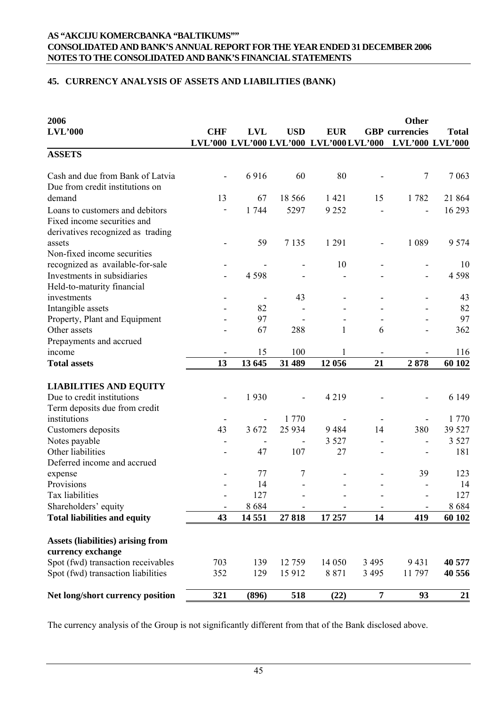# **45. CURRENCY ANALYSIS OF ASSETS AND LIABILITIES (BANK)**

| 2006                                                                |                |            |                          |                                                       |                          | <b>Other</b>             |                                        |
|---------------------------------------------------------------------|----------------|------------|--------------------------|-------------------------------------------------------|--------------------------|--------------------------|----------------------------------------|
| LVL'000                                                             | <b>CHF</b>     | <b>LVL</b> | <b>USD</b>               | <b>EUR</b><br>LVL'000 LVL'000 LVL'000 LVL'000 LVL'000 |                          | <b>GBP</b> currencies    | <b>Total</b><br><b>LVL'000 LVL'000</b> |
| <b>ASSETS</b>                                                       |                |            |                          |                                                       |                          |                          |                                        |
| Cash and due from Bank of Latvia<br>Due from credit institutions on | $\blacksquare$ | 6916       | 60                       | 80                                                    |                          | $\tau$                   | 7 0 63                                 |
| demand                                                              | 13             | 67         | 18 5 6 6                 | 1 4 2 1                                               | 15                       | 1782                     | 21 864                                 |
| Loans to customers and debitors                                     |                | 1 744      | 5297                     | 9 2 5 2                                               |                          |                          | 16 29 3                                |
| Fixed income securities and<br>derivatives recognized as trading    |                |            |                          |                                                       |                          |                          |                                        |
| assets                                                              |                | 59         | 7 1 3 5                  | 1 2 9 1                                               |                          | 1 0 8 9                  | 9 5 7 4                                |
| Non-fixed income securities                                         |                |            |                          |                                                       |                          |                          |                                        |
| recognized as available-for-sale                                    |                |            |                          | 10                                                    |                          |                          | 10                                     |
| Investments in subsidiaries                                         |                | 4 5 9 8    |                          |                                                       |                          |                          | 4598                                   |
| Held-to-maturity financial                                          |                |            |                          |                                                       |                          |                          |                                        |
| investments                                                         |                |            | 43                       |                                                       |                          |                          | 43                                     |
| Intangible assets                                                   |                | 82         |                          |                                                       |                          |                          | 82                                     |
| Property, Plant and Equipment                                       |                | 97         |                          |                                                       |                          |                          | 97                                     |
| Other assets                                                        |                | 67         | 288                      | 1                                                     | 6                        |                          | 362                                    |
| Prepayments and accrued                                             |                |            |                          |                                                       |                          |                          |                                        |
| income                                                              |                | 15         | 100                      |                                                       |                          |                          | 116                                    |
| <b>Total assets</b>                                                 | 13             | 13 645     | 31 489                   | 12 056                                                | 21                       | 2878                     | 60 102                                 |
| <b>LIABILITIES AND EQUITY</b>                                       |                |            |                          |                                                       |                          |                          |                                        |
| Due to credit institutions                                          | -              | 1930       | $\overline{\phantom{a}}$ | 4 2 1 9                                               |                          |                          | 6 1 4 9                                |
| Term deposits due from credit                                       |                |            |                          |                                                       |                          |                          |                                        |
| institutions                                                        |                |            | 1770                     |                                                       |                          |                          | 1 770                                  |
| Customers deposits                                                  | 43             | 3 672      | 25 9 34                  | 9484                                                  | 14                       | 380                      | 39 527                                 |
| Notes payable                                                       |                |            |                          | 3 5 2 7                                               | $\overline{\phantom{a}}$ |                          | 3 5 2 7                                |
| Other liabilities                                                   |                | 47         | 107                      | 27                                                    | $\overline{\phantom{a}}$ | $\overline{\phantom{a}}$ | 181                                    |
| Deferred income and accrued                                         |                |            |                          |                                                       |                          |                          |                                        |
| expense                                                             |                | 77         | $\overline{7}$           |                                                       |                          | 39                       | 123                                    |
| Provisions                                                          |                | 14         |                          |                                                       |                          |                          | 14                                     |
| Tax liabilities                                                     |                | 127        |                          |                                                       |                          |                          | 127                                    |
| Shareholders' equity                                                |                | 8684       |                          |                                                       |                          |                          | 8684                                   |
| <b>Total liabilities and equity</b>                                 | 43             | 14551      | 27818                    | 17 257                                                | 14                       | 419                      | 60 102                                 |
|                                                                     |                |            |                          |                                                       |                          |                          |                                        |
| <b>Assets (liabilities) arising from</b>                            |                |            |                          |                                                       |                          |                          |                                        |
| currency exchange                                                   |                |            |                          |                                                       |                          |                          |                                        |
| Spot (fwd) transaction receivables                                  | 703            | 139        | 12759                    | 14 050                                                | 3 4 9 5                  | 9431                     | 40 577                                 |
| Spot (fwd) transaction liabilities                                  | 352            | 129        | 15 9 12                  | 8 8 7 1                                               | 3 4 9 5                  | 11797                    | 40 556                                 |
| Net long/short currency position                                    | 321            | (896)      | 518                      | (22)                                                  | $\overline{7}$           | 93                       | 21                                     |

The currency analysis of the Group is not significantly different from that of the Bank disclosed above.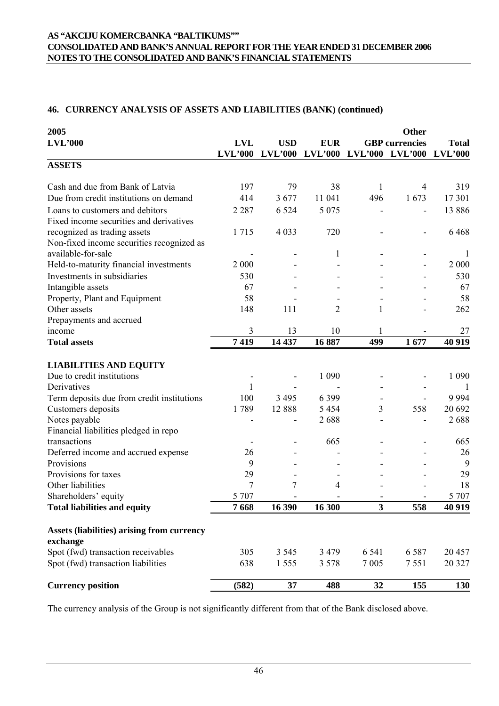# **46. CURRENCY ANALYSIS OF ASSETS AND LIABILITIES (BANK) (continued)**

| 2005                                                                       |            |                 |                          |              | <b>Other</b>          |              |
|----------------------------------------------------------------------------|------------|-----------------|--------------------------|--------------|-----------------------|--------------|
| <b>LVL'000</b>                                                             | <b>LVL</b> | <b>USD</b>      | <b>EUR</b>               |              | <b>GBP</b> currencies | <b>Total</b> |
|                                                                            | LVL'000    | LVL'000         | LVL'000                  |              | LVL'000 LVL'000       | LVL'000      |
| <b>ASSETS</b>                                                              |            |                 |                          |              |                       |              |
| Cash and due from Bank of Latvia                                           | 197        | 79              | 38                       | 1            | 4                     | 319          |
| Due from credit institutions on demand                                     | 414        | 3 6 7 7         | 11 041                   | 496          | 1673                  | 17 301       |
| Loans to customers and debitors<br>Fixed income securities and derivatives | 2 2 8 7    | 6 5 2 4         | 5 0 7 5                  |              | $\overline{a}$        | 13886        |
| recognized as trading assets<br>Non-fixed income securities recognized as  | 1715       | 4 0 3 3         | 720                      |              |                       | 6468         |
| available-for-sale                                                         |            |                 | $\mathbf{1}$             |              |                       | 1            |
| Held-to-maturity financial investments                                     | 2 000      |                 |                          |              |                       | 2 000        |
| Investments in subsidiaries                                                | 530        |                 |                          |              |                       | 530          |
| Intangible assets                                                          | 67         |                 |                          |              |                       | 67           |
| Property, Plant and Equipment                                              | 58         |                 |                          |              |                       | 58           |
| Other assets                                                               | 148        | 111             | $\overline{2}$           | $\mathbf{1}$ |                       | 262          |
| Prepayments and accrued                                                    |            |                 |                          |              |                       |              |
| income                                                                     | 3          | 13              | 10                       | 1            |                       | 27           |
| <b>Total assets</b>                                                        | 7419       | 14 437          | 16887                    | 499          | 1677                  | 40 919       |
| <b>LIABILITIES AND EQUITY</b>                                              |            |                 |                          |              |                       |              |
| Due to credit institutions                                                 |            |                 | 1 0 9 0                  |              |                       | 1 0 9 0      |
| Derivatives                                                                | 1          |                 |                          |              |                       | -1           |
| Term deposits due from credit institutions                                 | 100        | 3 4 9 5         | 6 3 9 9                  |              |                       | 9994         |
| Customers deposits                                                         | 1789       | 12 888          | 5 4 5 4                  | 3            | 558                   | 20 692       |
| Notes payable                                                              |            |                 | 2688                     |              |                       | 2688         |
| Financial liabilities pledged in repo                                      |            |                 |                          |              |                       |              |
| transactions                                                               |            |                 | 665                      |              |                       | 665          |
| Deferred income and accrued expense                                        | 26         |                 |                          |              |                       | 26           |
| Provisions                                                                 | 9          |                 |                          |              |                       | 9            |
| Provisions for taxes                                                       | 29         |                 |                          |              |                       | 29           |
| Other liabilities                                                          | 7          | $\overline{7}$  | 4                        |              |                       | 18           |
| Shareholders' equity                                                       | 5 707      | $\blacksquare$  | $\overline{\phantom{a}}$ |              |                       | 5 707        |
| <b>Total liabilities and equity</b>                                        | 7668       | 16 390          | 16 300                   | 3            | 558                   | 40 919       |
| <b>Assets (liabilities) arising from currency</b>                          |            |                 |                          |              |                       |              |
| exchange<br>Spot (fwd) transaction receivables                             |            |                 |                          | 6 5 4 1      | 6 5 8 7               | 20 457       |
| Spot (fwd) transaction liabilities                                         | 305<br>638 | 3 5 4 5<br>1555 | 3 4 7 9<br>3 5 7 8       | 7 0 0 5      | 7551                  | 20 327       |
| <b>Currency position</b>                                                   | (582)      | 37              | 488                      | 32           | 155                   | <b>130</b>   |

The currency analysis of the Group is not significantly different from that of the Bank disclosed above.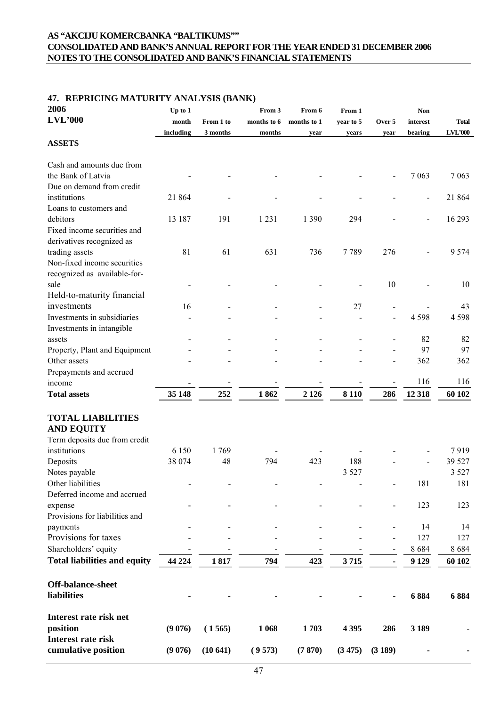#### **47. REPRICING MATURITY ANALYSIS (BANK)**

| 2006                                          | Up to 1   |           | From 3      | From 6      | From 1    |                | Non      |                |
|-----------------------------------------------|-----------|-----------|-------------|-------------|-----------|----------------|----------|----------------|
| <b>LVL'000</b>                                | month     | From 1 to | months to 6 | months to 1 | year to 5 | Over 5         | interest | <b>Total</b>   |
|                                               | including | 3 months  | months      | year        | years     | year           | bearing  | <b>LVL'000</b> |
| <b>ASSETS</b>                                 |           |           |             |             |           |                |          |                |
| Cash and amounts due from                     |           |           |             |             |           |                |          |                |
| the Bank of Latvia                            |           |           |             |             |           |                | 7 0 63   | 7 0 63         |
| Due on demand from credit                     |           |           |             |             |           |                |          |                |
| institutions                                  | 21 864    |           |             |             |           |                |          | 21 864         |
| Loans to customers and                        |           |           |             |             |           |                |          |                |
| debitors                                      | 13 187    | 191       | 1 2 3 1     | 1 3 9 0     | 294       |                |          | 16 29 3        |
| Fixed income securities and                   |           |           |             |             |           |                |          |                |
| derivatives recognized as                     | 81        | 61        | 631         |             | 7789      | 276            |          | 9 5 7 4        |
| trading assets<br>Non-fixed income securities |           |           |             | 736         |           |                |          |                |
| recognized as available-for-                  |           |           |             |             |           |                |          |                |
| sale                                          |           |           |             |             |           | 10             |          | 10             |
| Held-to-maturity financial                    |           |           |             |             |           |                |          |                |
| investments                                   | 16        |           |             |             | 27        |                |          | 43             |
| Investments in subsidiaries                   |           |           |             |             |           |                | 4598     | 4 5 9 8        |
| Investments in intangible                     |           |           |             |             |           |                |          |                |
| assets                                        |           |           |             |             |           |                | 82       | 82             |
| Property, Plant and Equipment                 |           |           |             |             |           |                | 97       | 97             |
| Other assets                                  |           |           |             |             |           | $\blacksquare$ | 362      | 362            |
| Prepayments and accrued                       |           |           |             |             |           |                |          |                |
| income                                        |           |           |             |             |           |                | 116      | 116            |
| <b>Total assets</b>                           | 35 148    | 252       | 1862        | 2 1 2 6     | 8 1 1 0   | 286            | 12 3 18  | 60 102         |
|                                               |           |           |             |             |           |                |          |                |
| <b>TOTAL LIABILITIES</b><br><b>AND EQUITY</b> |           |           |             |             |           |                |          |                |
| Term deposits due from credit                 |           |           |             |             |           |                |          |                |
| institutions                                  | 6 1 5 0   | 1769      |             |             |           |                |          | 7919           |
| Deposits                                      | 38 074    | 48        | 794         | 423         | 188       |                |          | 39 5 27        |
| Notes payable                                 |           |           |             |             | 3 5 2 7   |                |          | 3 5 2 7        |
| Other liabilities                             |           |           |             |             |           |                | 181      | 181            |
| Deferred income and accrued                   |           |           |             |             |           |                |          |                |
| expense                                       |           |           |             |             |           |                | 123      | 123            |
| Provisions for liabilities and                |           |           |             |             |           |                |          |                |
| payments                                      |           |           |             |             |           |                | 14       | 14             |
| Provisions for taxes                          |           |           |             |             |           |                | 127      | 127            |
| Shareholders' equity                          |           |           |             |             |           |                | 8684     | 8684           |
| <b>Total liabilities and equity</b>           | 44 224    | 1817      | 794         | 423         | 3715      |                | 9 1 29   | 60 102         |
| <b>Off-balance-sheet</b>                      |           |           |             |             |           |                |          |                |
| liabilities                                   |           |           |             |             |           |                |          |                |
|                                               |           |           |             |             |           |                | 6884     | 6884           |
| Interest rate risk net                        |           |           |             |             |           |                |          |                |
| position                                      | (9076)    | (1565)    | 1 0 6 8     | 1703        | 4 3 9 5   | 286            | 3 1 8 9  |                |
| Interest rate risk                            |           |           |             |             |           |                |          |                |
| cumulative position                           | (9076)    | (10641)   | (9573)      | (7870)      | (3475)    | (3189)         |          |                |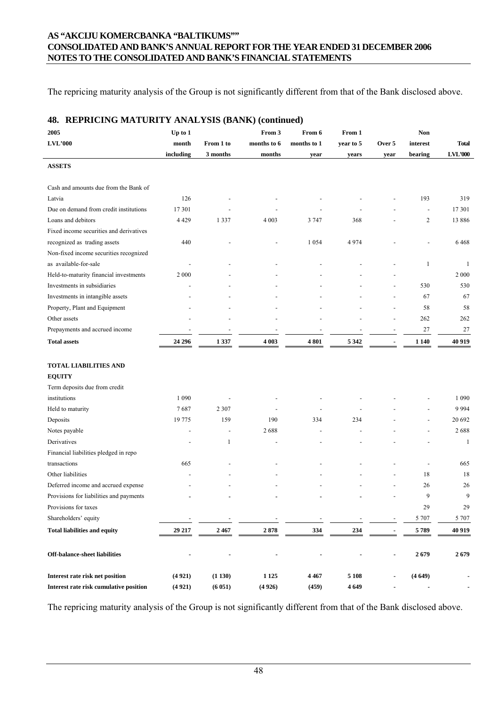The repricing maturity analysis of the Group is not significantly different from that of the Bank disclosed above.

| 2005                                    | Up to $1$                |                          | From 3      | From 6                   | From 1    |                          | Non                      |                |
|-----------------------------------------|--------------------------|--------------------------|-------------|--------------------------|-----------|--------------------------|--------------------------|----------------|
| <b>LVL'000</b>                          | month                    | From 1 to                | months to 6 | months to 1              | year to 5 | Over 5                   | interest                 | <b>Total</b>   |
|                                         | including                | 3 months                 | months      | year                     | years     | year                     | bearing                  | <b>LVL'000</b> |
| <b>ASSETS</b>                           |                          |                          |             |                          |           |                          |                          |                |
| Cash and amounts due from the Bank of   |                          |                          |             |                          |           |                          |                          |                |
| Latvia                                  | 126                      |                          |             |                          |           |                          | 193                      | 319            |
| Due on demand from credit institutions  | 17 301                   |                          |             |                          |           |                          | $\overline{a}$           | 17 301         |
| Loans and debitors                      | 4 4 2 9                  | 1 3 3 7                  | 4 0 0 3     | 3 7 4 7                  | 368       |                          | $\mathfrak{2}$           | 13 8 8 6       |
| Fixed income securities and derivatives |                          |                          |             |                          |           |                          |                          |                |
| recognized as trading assets            | 440                      |                          |             | 1 0 5 4                  | 4974      |                          |                          | 6468           |
| Non-fixed income securities recognized  |                          |                          |             |                          |           |                          |                          |                |
| as available-for-sale                   |                          |                          |             |                          |           |                          | $\mathbf{1}$             | 1              |
| Held-to-maturity financial investments  | 2 0 0 0                  |                          |             |                          |           |                          |                          | 2 0 0 0        |
| Investments in subsidiaries             |                          |                          |             |                          |           |                          | 530                      | 530            |
| Investments in intangible assets        |                          |                          |             |                          |           |                          | 67                       | 67             |
| Property, Plant and Equipment           |                          |                          |             |                          |           |                          | 58                       | 58             |
| Other assets                            |                          |                          |             |                          |           |                          | 262                      | 262            |
| Prepayments and accrued income          |                          |                          |             |                          |           |                          | 27                       | 27             |
| <b>Total assets</b>                     | 24 29 6                  | 1 3 3 7                  | 4 0 0 3     | 4801                     | 5 3 4 2   |                          | 1 1 4 0                  | 40 919         |
| <b>TOTAL LIABILITIES AND</b>            |                          |                          |             |                          |           |                          |                          |                |
| <b>EQUITY</b>                           |                          |                          |             |                          |           |                          |                          |                |
| Term deposits due from credit           |                          |                          |             |                          |           |                          |                          |                |
| institutions                            | 1 0 9 0                  |                          |             |                          |           |                          |                          | 1 0 9 0        |
| Held to maturity                        | 7687                     | 2 3 0 7                  |             |                          |           |                          |                          | 9994           |
| Deposits                                | 19 775                   | 159                      | 190         | 334                      | 234       |                          |                          | 20 692         |
| Notes payable                           |                          | $\overline{\phantom{a}}$ | 2688        |                          |           |                          |                          | 2688           |
| Derivatives                             |                          | 1                        |             |                          |           |                          |                          | 1              |
| Financial liabilities pledged in repo   |                          |                          |             |                          |           |                          |                          |                |
| transactions                            | 665                      |                          |             |                          |           |                          | $\overline{\phantom{0}}$ | 665            |
| Other liabilities                       |                          |                          |             |                          |           |                          | 18                       | 18             |
| Deferred income and accrued expense     |                          |                          |             |                          |           |                          | 26                       | 26             |
| Provisions for liabilities and payments |                          |                          |             |                          |           |                          | 9                        | 9              |
| Provisions for taxes                    |                          |                          |             |                          |           |                          | 29                       | 29             |
| Shareholders' equity                    | $\overline{\phantom{0}}$ |                          |             | $\overline{\phantom{a}}$ |           | $\overline{\phantom{a}}$ | 5 7 0 7                  | 5 7 0 7        |
| <b>Total liabilities and equity</b>     | 29 217                   | 2 4 6 7                  | 2878        | 334                      | 234       |                          | 5789                     | 40 919         |
| <b>Off-balance-sheet liabilities</b>    |                          |                          |             | ٠                        |           |                          | 2679                     | 2679           |
| Interest rate risk net position         | (4921)                   | (1130)                   | 1 1 2 5     | 4 4 6 7                  | 5 1 0 8   |                          | (4649)                   |                |
| Interest rate risk cumulative position  | (4921)                   | (6051)                   | (4926)      | (459)                    | 4649      |                          |                          |                |

# **48. REPRICING MATURITY ANALYSIS (BANK) (continued)**

The repricing maturity analysis of the Group is not significantly different from that of the Bank disclosed above.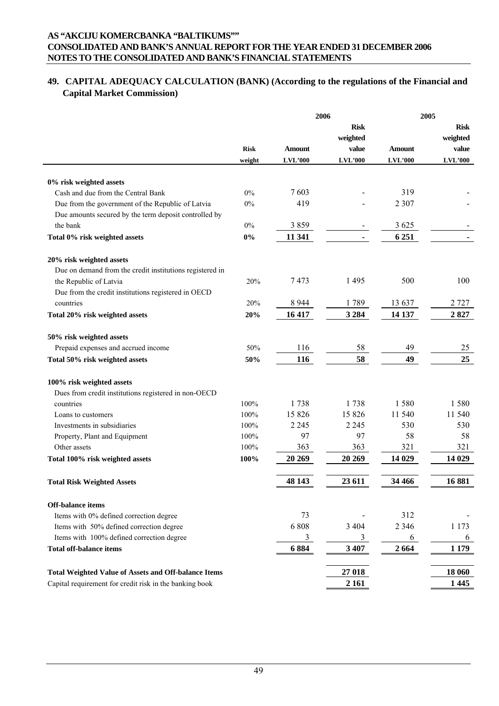# **49. CAPITAL ADEQUACY CALCULATION (BANK) (According to the regulations of the Financial and Capital Market Commission)**

|                                                             |             | 2006           |                | 2005           |                |
|-------------------------------------------------------------|-------------|----------------|----------------|----------------|----------------|
|                                                             |             |                | <b>Risk</b>    |                | <b>Risk</b>    |
|                                                             |             |                | weighted       |                | weighted       |
|                                                             | <b>Risk</b> | <b>Amount</b>  | value          | <b>Amount</b>  | value          |
|                                                             | weight      | <b>LVL'000</b> | LVL'000        | <b>LVL'000</b> | <b>LVL'000</b> |
|                                                             |             |                |                |                |                |
| 0% risk weighted assets                                     |             | 7603           |                | 319            |                |
| Cash and due from the Central Bank                          | $0\%$       |                |                |                |                |
| Due from the government of the Republic of Latvia           | 0%          | 419            |                | 2 3 0 7        |                |
| Due amounts secured by the term deposit controlled by       |             |                |                |                |                |
| the bank                                                    | $0\%$       | 3859           |                | 3 6 2 5        |                |
| Total 0% risk weighted assets                               | $0\%$       | 11 341         |                | 6 2 5 1        |                |
| 20% risk weighted assets                                    |             |                |                |                |                |
| Due on demand from the credit institutions registered in    |             |                |                |                |                |
| the Republic of Latvia                                      | 20%         | 7473           | 1 4 9 5        | 500            | 100            |
| Due from the credit institutions registered in OECD         |             |                |                |                |                |
| countries                                                   | 20%         | 8 9 4 4        | 1789           | 13 637         | 2 7 2 7        |
| Total 20% risk weighted assets                              | 20%         | 16 417         | 3 2 8 4        | 14 137         | 2827           |
|                                                             |             |                |                |                |                |
| 50% risk weighted assets                                    |             |                |                |                |                |
| Prepaid expenses and accrued income                         | 50%         | 116            | 58             | 49             | 25             |
| Total 50% risk weighted assets                              | 50%         | 116            | 58             | 49             | 25             |
| 100% risk weighted assets                                   |             |                |                |                |                |
| Dues from credit institutions registered in non-OECD        |             |                |                |                |                |
| countries                                                   | 100%        | 1738           | 1738           | 1580           | 1580           |
| Loans to customers                                          | 100%        | 15 8 26        | 15 8 26        | 11 540         | 11 540         |
| Investments in subsidiaries                                 | 100%        | 2 2 4 5        | 2 2 4 5        | 530            | 530            |
| Property, Plant and Equipment                               | 100%        | 97             | 97             | 58             | 58             |
| Other assets                                                | 100%        | 363            | 363            | 321            | 321            |
| Total 100% risk weighted assets                             | 100%        | 20 269         | 20 269         | 14 0 29        | 14 029         |
|                                                             |             |                |                |                |                |
| <b>Total Risk Weighted Assets</b>                           |             | 48 143         | 23 611         | 34 466         | 16881          |
| Off-balance items                                           |             |                |                |                |                |
| Items with 0% defined correction degree                     |             | 73             |                | 312            |                |
| Items with 50% defined correction degree                    |             | 6 8 0 8        | 3 4 0 4        | 2 3 4 6        | 1 1 7 3        |
| Items with 100% defined correction degree                   |             | 3              | $\mathfrak{Z}$ | 6              | 6              |
| <b>Total off-balance items</b>                              |             | 6884           | 3 407          | 2664           | 1 1 7 9        |
|                                                             |             |                |                |                | 18 060         |
| <b>Total Weighted Value of Assets and Off-balance Items</b> |             |                | 27 018         |                |                |
| Capital requirement for credit risk in the banking book     |             |                | 2 1 6 1        |                | 1445           |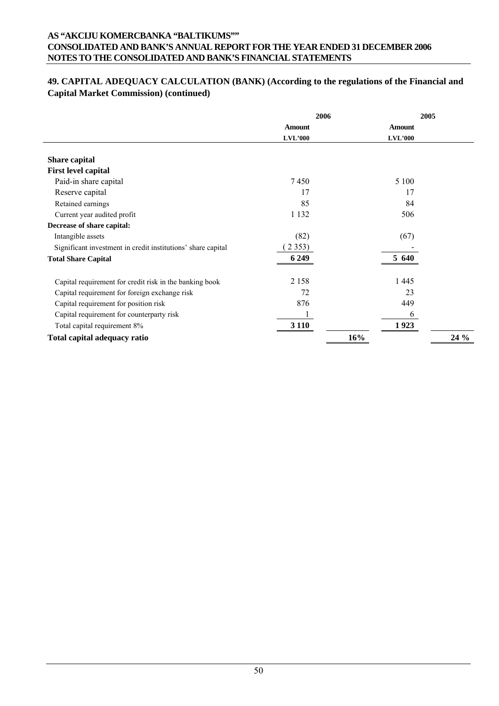# **49. CAPITAL ADEQUACY CALCULATION (BANK) (According to the regulations of the Financial and Capital Market Commission) (continued)**

|                                                              | 2006           | 2005           |
|--------------------------------------------------------------|----------------|----------------|
|                                                              | <b>Amount</b>  | Amount         |
|                                                              | <b>LVL'000</b> | <b>LVL'000</b> |
| Share capital                                                |                |                |
| <b>First level capital</b>                                   |                |                |
| Paid-in share capital                                        | 7450           | 5 100          |
| Reserve capital                                              | 17             | 17             |
| Retained earnings                                            | 85             | 84             |
| Current year audited profit                                  | 1 1 3 2        | 506            |
| Decrease of share capital:                                   |                |                |
| Intangible assets                                            | (82)           | (67)           |
| Significant investment in credit institutions' share capital | 2353)          |                |
| <b>Total Share Capital</b>                                   | 6 2 4 9        | 5 640          |
| Capital requirement for credit risk in the banking book      | 2 1 5 8        | 1 4 4 5        |
| Capital requirement for foreign exchange risk                | 72             | 23             |
| Capital requirement for position risk                        | 876            | 449            |
| Capital requirement for counterparty risk                    |                | 6              |
| Total capital requirement 8%                                 | 3 1 1 0        | 1923           |
| Total capital adequacy ratio                                 |                | 16%<br>$24\%$  |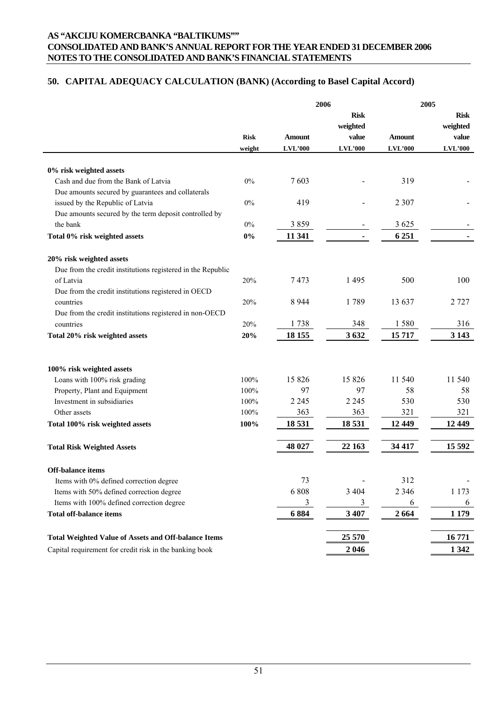# **50. CAPITAL ADEQUACY CALCULATION (BANK) (According to Basel Capital Accord)**

|                                                             |             | 2006           |                | 2005          |             |
|-------------------------------------------------------------|-------------|----------------|----------------|---------------|-------------|
|                                                             |             |                | <b>Risk</b>    |               | <b>Risk</b> |
|                                                             |             |                | weighted       |               | weighted    |
|                                                             | <b>Risk</b> | <b>Amount</b>  | value          | <b>Amount</b> | value       |
|                                                             | weight      | <b>LVL'000</b> | <b>LVL'000</b> | LVL'000       | LVL'000     |
| 0% risk weighted assets                                     |             |                |                |               |             |
| Cash and due from the Bank of Latvia                        | $0\%$       | 7603           |                | 319           |             |
| Due amounts secured by guarantees and collaterals           |             |                |                |               |             |
| issued by the Republic of Latvia                            | $0\%$       | 419            |                | 2 3 0 7       |             |
| Due amounts secured by the term deposit controlled by       |             |                |                |               |             |
| the bank                                                    | 0%          | 3859           |                | 3 6 25        |             |
|                                                             |             |                |                |               |             |
| Total 0% risk weighted assets                               | $0\%$       | 11 341         |                | 6 2 5 1       |             |
| 20% risk weighted assets                                    |             |                |                |               |             |
| Due from the credit institutions registered in the Republic |             |                |                |               |             |
| of Latvia                                                   | 20%         | 7473           | 1 4 9 5        | 500           | 100         |
| Due from the credit institutions registered in OECD         |             |                |                |               |             |
| countries                                                   | 20%         | 8 9 4 4        | 1789           | 13 637        | 2 7 2 7     |
| Due from the credit institutions registered in non-OECD     |             |                |                |               |             |
| countries                                                   | 20%         | 1738           | 348            | 1580          | 316         |
| Total 20% risk weighted assets                              | 20%         | 18 15 5        | 3632           | 15717         | 3 1 4 3     |
|                                                             |             |                |                |               |             |
| 100% risk weighted assets                                   |             |                |                |               |             |
| Loans with 100% risk grading                                | 100%        | 15 8 26        | 15 8 26        | 11 540        | 11 540      |
| Property, Plant and Equipment                               | 100%        | 97             | 97             | 58            | 58          |
| Investment in subsidiaries                                  | 100%        | 2 2 4 5        | 2 2 4 5        | 530           | 530         |
| Other assets                                                | 100%        | 363            | 363            | 321           | 321         |
| Total 100% risk weighted assets                             | 100%        | 18 531         | 18531          | 12 449        | 12 449      |
|                                                             |             |                |                |               |             |
| <b>Total Risk Weighted Assets</b>                           |             | 48 027         | 22 163         | 34 417        | 15 5 9 2    |
| <b>Off-balance items</b>                                    |             |                |                |               |             |
| Items with 0% defined correction degree                     |             | 73             |                | 312           |             |
| Items with 50% defined correction degree                    |             | 6 8 0 8        | 3 4 0 4        | 2 3 4 6       | 1 1 7 3     |
| Items with 100% defined correction degree                   |             | 3              | 3              | 6             | 6           |
| <b>Total off-balance items</b>                              |             | 6884           | 3 407          | 2664          | 1 1 7 9     |
|                                                             |             |                |                |               |             |
| <b>Total Weighted Value of Assets and Off-balance Items</b> |             |                | 25 570         |               | 16771       |
| Capital requirement for credit risk in the banking book     |             |                | 2 0 4 6        |               | 1 3 4 2     |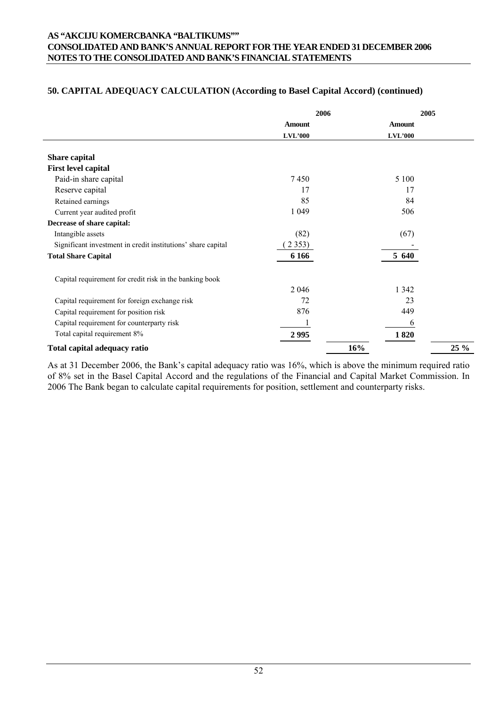# **50. CAPITAL ADEQUACY CALCULATION (According to Basel Capital Accord) (continued)**

|                                                              |               | 2006 | 2005          |
|--------------------------------------------------------------|---------------|------|---------------|
|                                                              | <b>Amount</b> |      | <b>Amount</b> |
|                                                              | LVL'000       |      | LVL'000       |
|                                                              |               |      |               |
| Share capital                                                |               |      |               |
| <b>First level capital</b>                                   |               |      |               |
| Paid-in share capital                                        | 7450          |      | 5 100         |
| Reserve capital                                              | 17            |      | 17            |
| Retained earnings                                            | 85            |      | 84            |
| Current year audited profit                                  | 1 0 4 9       |      | 506           |
| Decrease of share capital:                                   |               |      |               |
| Intangible assets                                            | (82)          |      | (67)          |
| Significant investment in credit institutions' share capital | 2 3 5 3 )     |      |               |
| <b>Total Share Capital</b>                                   | 6 1 6 6       |      | 5 640         |
| Capital requirement for credit risk in the banking book      |               |      |               |
|                                                              | 2 0 4 6       |      | 1 3 4 2       |
| Capital requirement for foreign exchange risk                | 72            |      | 23            |
| Capital requirement for position risk                        | 876           |      | 449           |
| Capital requirement for counterparty risk                    |               |      | 6             |
| Total capital requirement 8%                                 | 2995          |      | 1820          |
| Total capital adequacy ratio                                 |               | 16%  | 25 %          |

As at 31 December 2006, the Bank's capital adequacy ratio was 16%, which is above the minimum required ratio of 8% set in the Basel Capital Accord and the regulations of the Financial and Capital Market Commission. In 2006 The Bank began to calculate capital requirements for position, settlement and counterparty risks.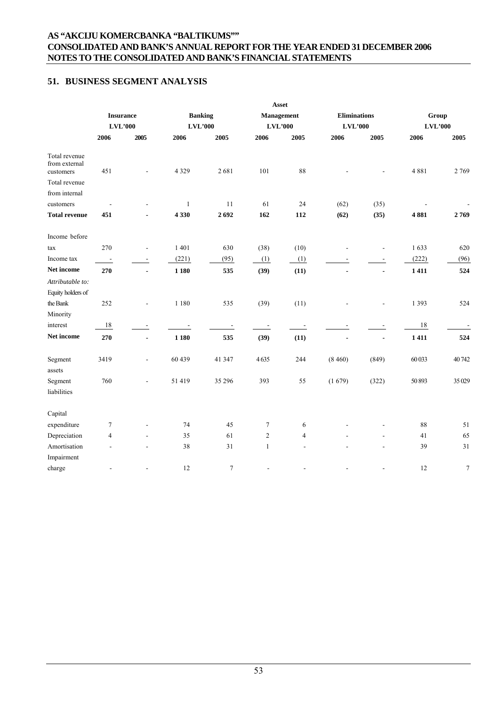# **51. BUSINESS SEGMENT ANALYSIS**

|                                             |                            |                          |                          |                          |                          | Asset                    |                          |                          |                    |                  |
|---------------------------------------------|----------------------------|--------------------------|--------------------------|--------------------------|--------------------------|--------------------------|--------------------------|--------------------------|--------------------|------------------|
|                                             | <b>Insurance</b>           |                          |                          | <b>Banking</b>           |                          | Management               | <b>Eliminations</b>      |                          | Group              |                  |
|                                             | $\mathbf{LVL^{\prime}000}$ |                          | LVL'000                  |                          |                          | $\mathbf{LVL^*}000$      | LVL'000                  |                          | $\mathbf{LVL'000}$ |                  |
|                                             | 2006                       | 2005                     | 2006                     | 2005                     | 2006                     | 2005                     | 2006                     | 2005                     | 2006               | 2005             |
| Total revenue<br>from external<br>customers | 451                        |                          | 4 3 2 9                  | 2681                     | 101                      | 88                       |                          |                          | 4881               | 2 7 6 9          |
| Total revenue                               |                            |                          |                          |                          |                          |                          |                          |                          |                    |                  |
| from internal                               |                            |                          |                          |                          |                          |                          |                          |                          |                    |                  |
| customers                                   | $\overline{a}$             |                          | $\mathbf{1}$             | 11                       | 61                       | 24                       | (62)                     | (35)                     |                    |                  |
| <b>Total revenue</b>                        | 451                        |                          | 4 3 3 0                  | 2692                     | 162                      | 112                      | (62)                     | (35)                     | 4881               | 2769             |
| Income before                               |                            |                          |                          |                          |                          |                          |                          |                          |                    |                  |
| tax                                         | 270                        | $\overline{a}$           | 1401                     | 630                      | (38)                     | (10)                     |                          | $\blacksquare$           | 1633               | 620              |
| Income tax                                  | $\frac{1}{2}$              | $\overline{\phantom{0}}$ | (221)                    | (95)                     | (1)                      | (1)                      | $\overline{\phantom{a}}$ | $\blacksquare$           | (222)              | (96)             |
| Net income                                  | 270                        | $\blacksquare$           | 1 1 8 0                  | 535                      | (39)                     | (11)                     |                          | $\frac{1}{2}$            | 1411               | 524              |
| Attributable to:                            |                            |                          |                          |                          |                          |                          |                          |                          |                    |                  |
| Equity holders of                           |                            |                          |                          |                          |                          |                          |                          |                          |                    |                  |
| the Bank                                    | 252                        | $\overline{a}$           | 1 1 8 0                  | 535                      | (39)                     | (11)                     |                          | L,                       | 1 3 9 3            | 524              |
| Minority                                    |                            |                          |                          |                          |                          |                          |                          |                          |                    |                  |
| interest                                    | $18\,$                     | $\overline{\phantom{a}}$ | $\overline{\phantom{a}}$ | $\overline{\phantom{a}}$ | $\overline{\phantom{a}}$ |                          |                          | $\blacksquare$           | $18\,$             |                  |
| Net income                                  | 270                        | $\blacksquare$           | 1 1 8 0                  | 535                      | (39)                     | (11)                     | $\overline{a}$           | $\blacksquare$           | 1411               | 524              |
| Segment                                     | 3419                       | $\blacksquare$           | 60 439                   | 41 347                   | 4635                     | 244                      | (8460)                   | (849)                    | 60033              | 40742            |
| assets                                      |                            |                          |                          |                          |                          |                          |                          |                          |                    |                  |
| Segment                                     | 760                        | $\overline{\phantom{a}}$ | 51 419                   | 35 29 6                  | 393                      | 55                       | (1679)                   | (322)                    | 50893              | 35 0 29          |
| liabilities                                 |                            |                          |                          |                          |                          |                          |                          |                          |                    |                  |
| Capital                                     |                            |                          |                          |                          |                          |                          |                          |                          |                    |                  |
| expenditure                                 | $\tau$                     |                          | 74                       | 45                       | $\tau$                   | 6                        |                          |                          | 88                 | 51               |
| Depreciation                                | $\overline{4}$             |                          | 35                       | 61                       | $\overline{2}$           | $\overline{4}$           |                          |                          | 41                 | 65               |
| Amortisation                                | L,                         | $\overline{a}$           | 38                       | 31                       | $\mathbf{1}$             | $\overline{\phantom{a}}$ | ÷                        | $\overline{\phantom{a}}$ | 39                 | 31               |
| Impairment                                  |                            |                          |                          |                          |                          |                          |                          |                          |                    |                  |
| charge                                      |                            | $\overline{a}$           | 12                       | $\boldsymbol{7}$         |                          |                          |                          |                          | 12                 | $\boldsymbol{7}$ |